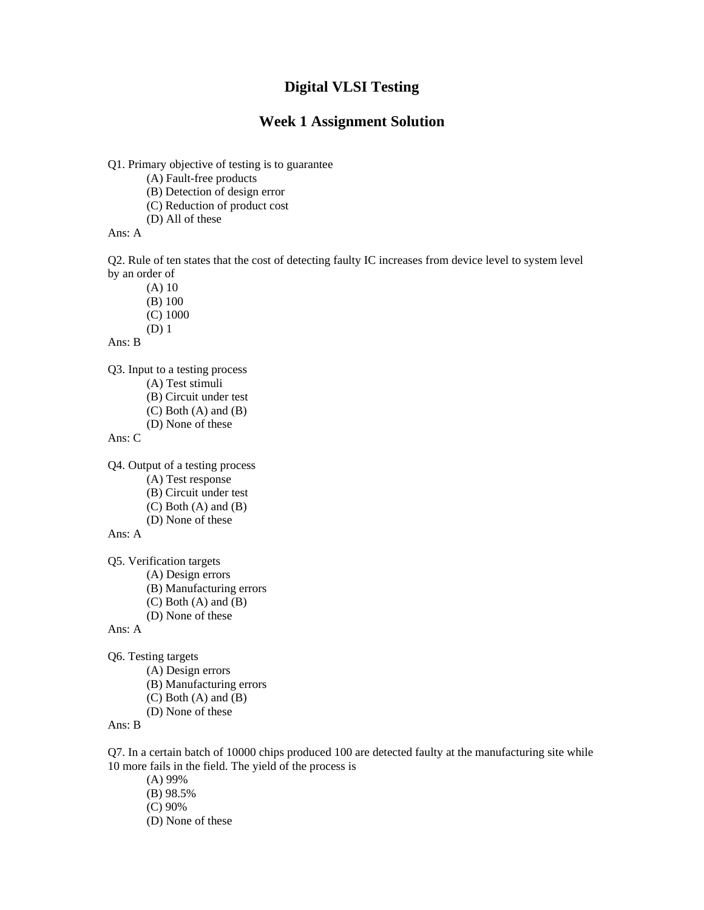#### **Week 1 Assignment Solution**

Q1. Primary objective of testing is to guarantee

(A) Fault-free products

(B) Detection of design error

(C) Reduction of product cost

(D) All of these

Ans: A

Q2. Rule of ten states that the cost of detecting faulty IC increases from device level to system level by an order of

(A) 10

(B) 100

(C) 1000

(D) 1

Ans: B

Q3. Input to a testing process

(A) Test stimuli

(B) Circuit under test

(C) Both (A) and (B)

(D) None of these

Ans: C

Q4. Output of a testing process

(A) Test response

(B) Circuit under test

(C) Both (A) and (B)

(D) None of these

Ans: A

Q5. Verification targets

(A) Design errors

(B) Manufacturing errors

(C) Both (A) and (B)

(D) None of these

Ans: A

Q6. Testing targets

(A) Design errors

(B) Manufacturing errors

(C) Both (A) and (B)

(D) None of these

Ans: B

Q7. In a certain batch of 10000 chips produced 100 are detected faulty at the manufacturing site while 10 more fails in the field. The yield of the process is

(A) 99%

(B) 98.5%

(C) 90%

(D) None of these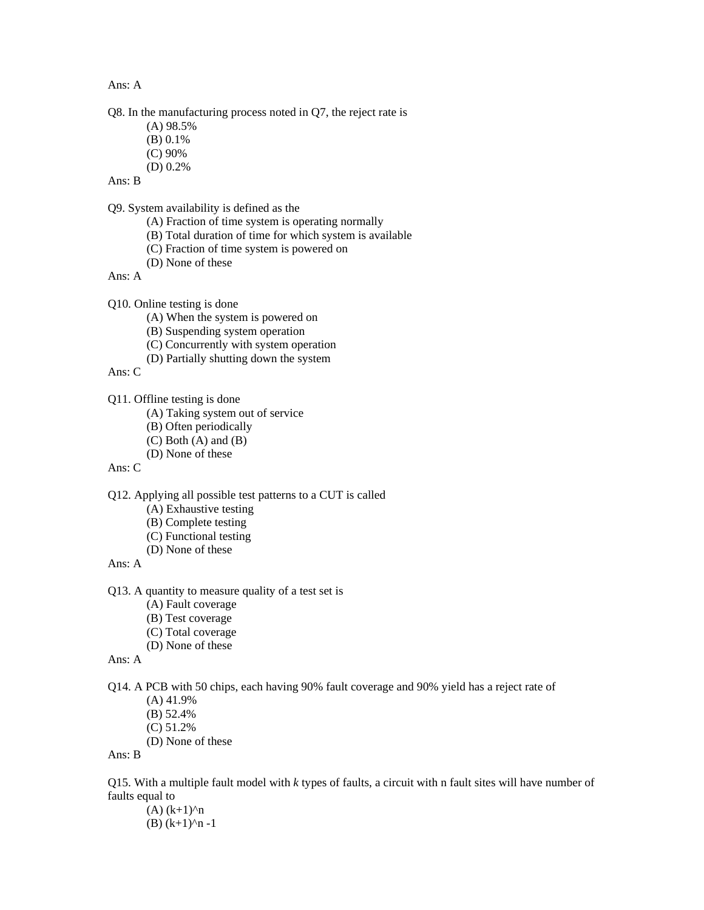Ans: A

Q8. In the manufacturing process noted in Q7, the reject rate is

- (A) 98.5%
- (B) 0.1%
- (C) 90%
- (D) 0.2%

Ans: B

Q9. System availability is defined as the

- (A) Fraction of time system is operating normally
- (B) Total duration of time for which system is available
- (C) Fraction of time system is powered on
- (D) None of these

Ans: A

Q10. Online testing is done

- (A) When the system is powered on
- (B) Suspending system operation
- (C) Concurrently with system operation
- (D) Partially shutting down the system

Ans: C

Q11. Offline testing is done

- (A) Taking system out of service
- (B) Often periodically
- (C) Both (A) and (B)
- (D) None of these

Ans: C

Q12. Applying all possible test patterns to a CUT is called

- (A) Exhaustive testing
- (B) Complete testing
- (C) Functional testing
- (D) None of these

Ans: A

Q13. A quantity to measure quality of a test set is

- (A) Fault coverage
- (B) Test coverage
- (C) Total coverage
- (D) None of these

Ans: A

Q14. A PCB with 50 chips, each having 90% fault coverage and 90% yield has a reject rate of

- (A) 41.9%
- (B) 52.4%
- (C) 51.2%
- (D) None of these

Ans: B

Q15. With a multiple fault model with *k* types of faults, a circuit with n fault sites will have number of faults equal to

 $(A)$   $(k+1)^n$ (B)  $(k+1)^n$  -1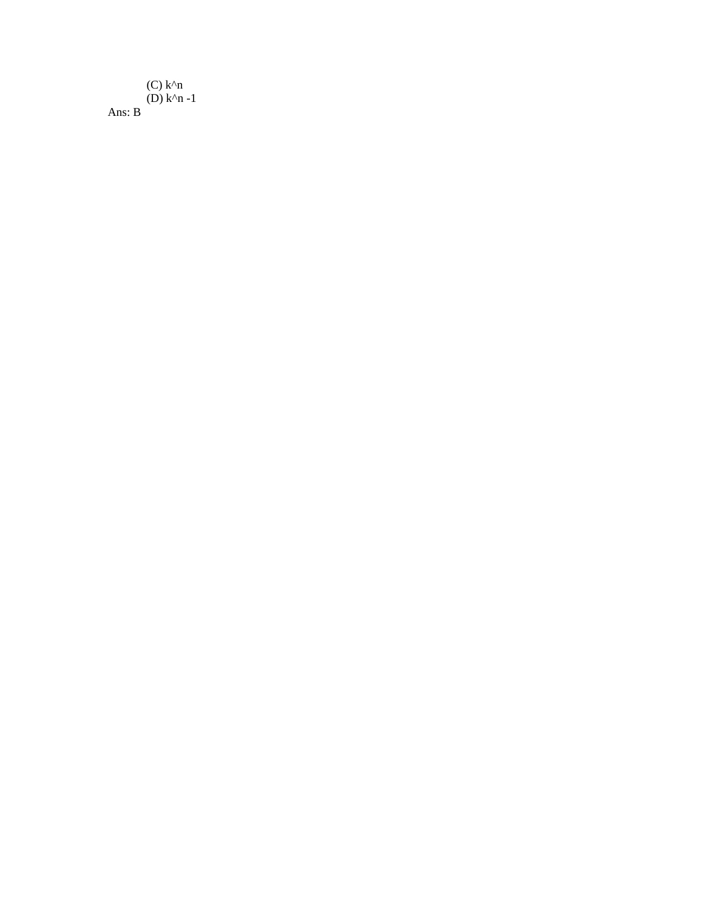(C)  $k^{\wedge}n$  $(D)$  k<sup>^</sup>n -1 Ans: B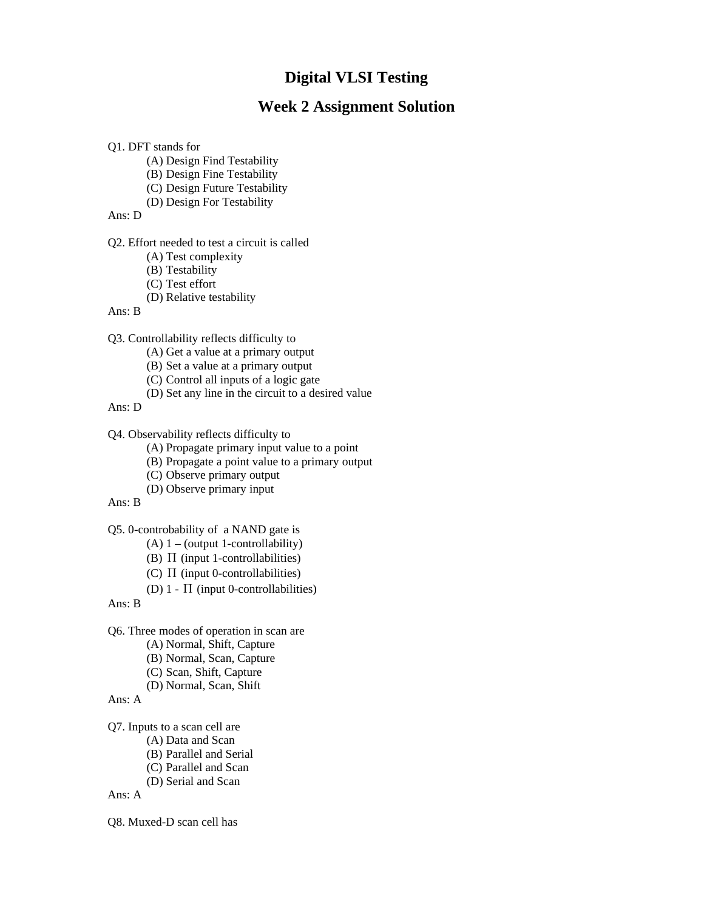# **Digital VLSI Testing Digital VLSI Testing**

## **Week 2 Assignment Solution Week 2 Assignment Solution**

#### Q1. DFT stands for

- (A) Design Find Testability
- (B) Design Fine Testability
- (C) Design Future Testability
- (D) Design For Testability

#### Ans: D

Q2. Effort needed to test a circuit is called

- (A) Test complexity
- (B) Testability
- (C) Test effort
- (D) Relative testability

#### Ans: B

Q3. Controllability reflects difficulty to

- (A) Get a value at a primary output
- (B) Set a value at a primary output
- (C) Control all inputs of a logic gate
- (D) Set any line in the circuit to a desired value

Ans: D

Q4. Observability reflects difficulty to

- (A) Propagate primary input value to a point
- (B) Propagate a point value to a primary output
- (C) Observe primary output
- (D) Observe primary input
- Ans: B

Q5. 0-controbability of a NAND gate is

- (A) 1 (output 1-controllability)
- (B)  $\Pi$  (input 1-controllabilities)
- (C) Π (input 0-controllabilities)
- (D)  $1 \Pi$  (input 0-controllabilities)

Ans: B

Q6. Three modes of operation in scan are

- (A) Normal, Shift, Capture
- (B) Normal, Scan, Capture
- (C) Scan, Shift, Capture
- (D) Normal, Scan, Shift

Ans: A

Q7. Inputs to a scan cell are

- (A) Data and Scan
- (B) Parallel and Serial
- (C) Parallel and Scan
- (D) Serial and Scan

Ans: A

Q8. Muxed-D scan cell has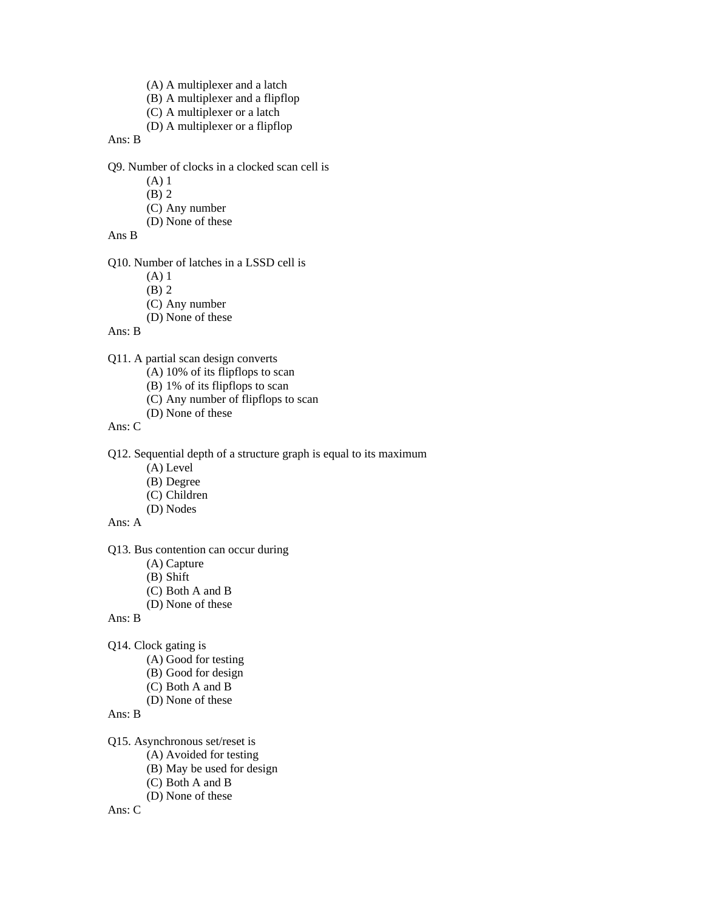- (A) A multiplexer and a latch
- (B) A multiplexer and a flipflop
- (C) A multiplexer or a latch
- (D) A multiplexer or a flipflop

Ans: B

Q9. Number of clocks in a clocked scan cell is

- (A) 1
- (B) 2
- (C) Any number
- (D) None of these

#### Ans B

Q10. Number of latches in a LSSD cell is

- (A) 1
- (B) 2
- (C) Any number
- (D) None of these

#### Ans: B

- Q11. A partial scan design converts
	- (A) 10% of its flipflops to scan
	- (B) 1% of its flipflops to scan
	- (C) Any number of flipflops to scan
	- (D) None of these

#### Ans: C

Q12. Sequential depth of a structure graph is equal to its maximum

- (A) Level
- (B) Degree
- (C) Children
- (D) Nodes

#### Ans: A

Q13. Bus contention can occur during

- (A) Capture
- (B) Shift
- (C) Both A and B
- (D) None of these

#### Ans: B

- Q14. Clock gating is
	- (A) Good for testing
	- (B) Good for design
	- (C) Both A and B
	- (D) None of these

#### Ans: B

Q15. Asynchronous set/reset is

- (A) Avoided for testing
- (B) May be used for design
- (C) Both A and B
- (D) None of these

Ans: C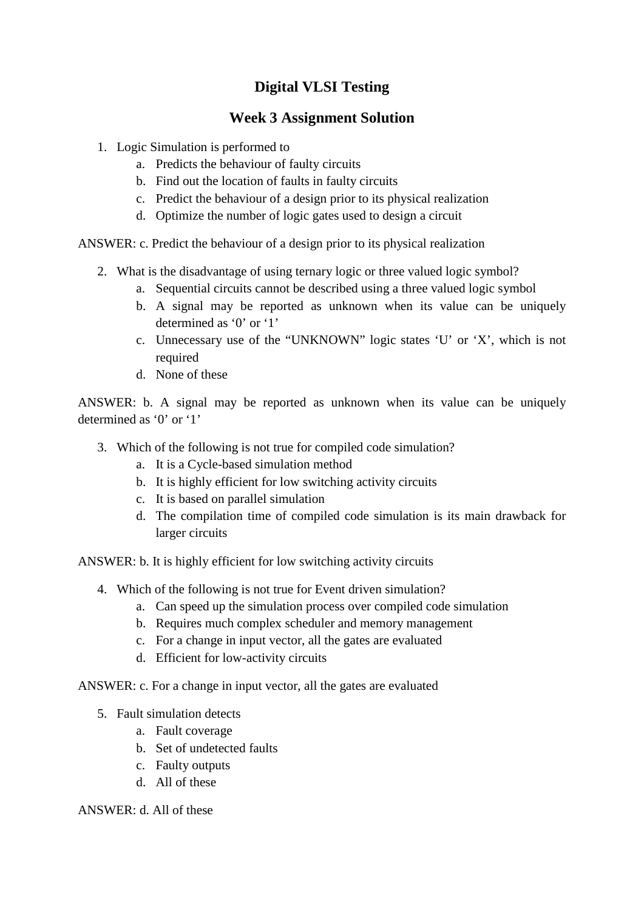## **Week 3 Assignment Solution**

- 1. Logic Simulation is performed to
	- a. Predicts the behaviour of faulty circuits
	- b. Find out the location of faults in faulty circuits
	- c. Predict the behaviour of a design prior to its physical realization
	- d. Optimize the number of logic gates used to design a circuit

ANSWER: c. Predict the behaviour of a design prior to its physical realization

- 2. What is the disadvantage of using ternary logic or three valued logic symbol?
	- a. Sequential circuits cannot be described using a three valued logic symbol
	- b. A signal may be reported as unknown when its value can be uniquely determined as '0' or '1'
	- c. Unnecessary use of the "UNKNOWN" logic states 'U' or 'X', which is not required
	- d. None of these

ANSWER: b. A signal may be reported as unknown when its value can be uniquely determined as '0' or '1'

- 3. Which of the following is not true for compiled code simulation?
	- a. It is a Cycle-based simulation method
	- b. It is highly efficient for low switching activity circuits
	- c. It is based on parallel simulation
	- d. The compilation time of compiled code simulation is its main drawback for larger circuits

ANSWER: b. It is highly efficient for low switching activity circuits

- 4. Which of the following is not true for Event driven simulation?
	- a. Can speed up the simulation process over compiled code simulation
	- b. Requires much complex scheduler and memory management
	- c. For a change in input vector, all the gates are evaluated
	- d. Efficient for low-activity circuits

ANSWER: c. For a change in input vector, all the gates are evaluated

- 5. Fault simulation detects
	- a. Fault coverage
	- b. Set of undetected faults
	- c. Faulty outputs
	- d. All of these

### ANSWER: d. All of these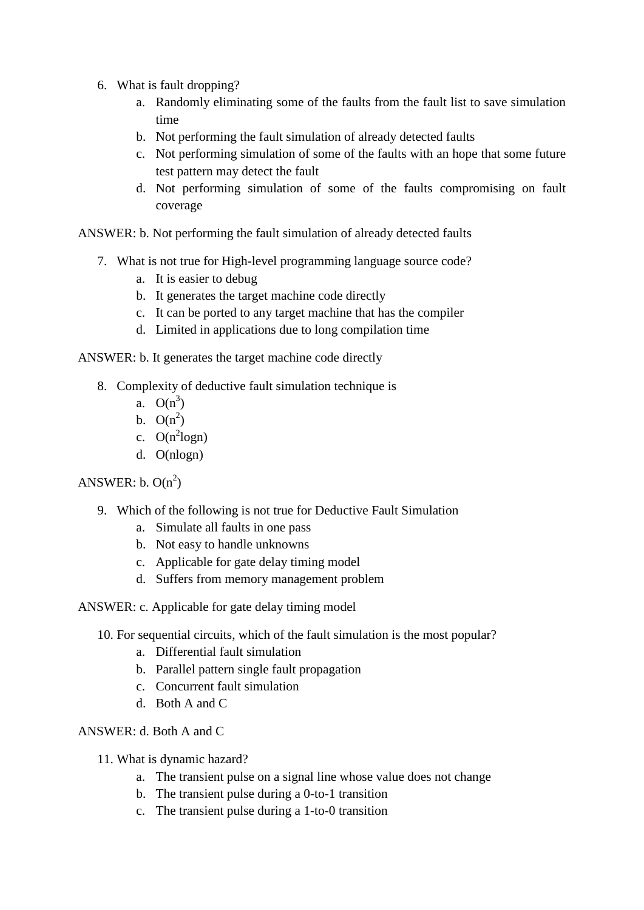- 6. What is fault dropping?
	- a. Randomly eliminating some of the faults from the fault list to save simulation time
	- b. Not performing the fault simulation of already detected faults
	- c. Not performing simulation of some of the faults with an hope that some future test pattern may detect the fault
	- d. Not performing simulation of some of the faults compromising on fault coverage

ANSWER: b. Not performing the fault simulation of already detected faults

- 7. What is not true for High-level programming language source code?
	- a. It is easier to debug
	- b. It generates the target machine code directly
	- c. It can be ported to any target machine that has the compiler
	- d. Limited in applications due to long compilation time

ANSWER: b. It generates the target machine code directly

- 8. Complexity of deductive fault simulation technique is
	- a.  $O(n^3)$
	- b.  $O(n^2)$
	- c.  $O(n^2 \text{log} n)$
	- d. O(nlogn)

ANSWER:  $b. O(n^2)$ 

- 9. Which of the following is not true for Deductive Fault Simulation
	- a. Simulate all faults in one pass
	- b. Not easy to handle unknowns
	- c. Applicable for gate delay timing model
	- d. Suffers from memory management problem
- ANSWER: c. Applicable for gate delay timing model
	- 10. For sequential circuits, which of the fault simulation is the most popular?
		- a. Differential fault simulation
		- b. Parallel pattern single fault propagation
		- c. Concurrent fault simulation
		- d. Both A and C

ANSWER: d. Both A and C

- 11. What is dynamic hazard?
	- a. The transient pulse on a signal line whose value does not change
	- b. The transient pulse during a 0-to-1 transition
	- c. The transient pulse during a 1-to-0 transition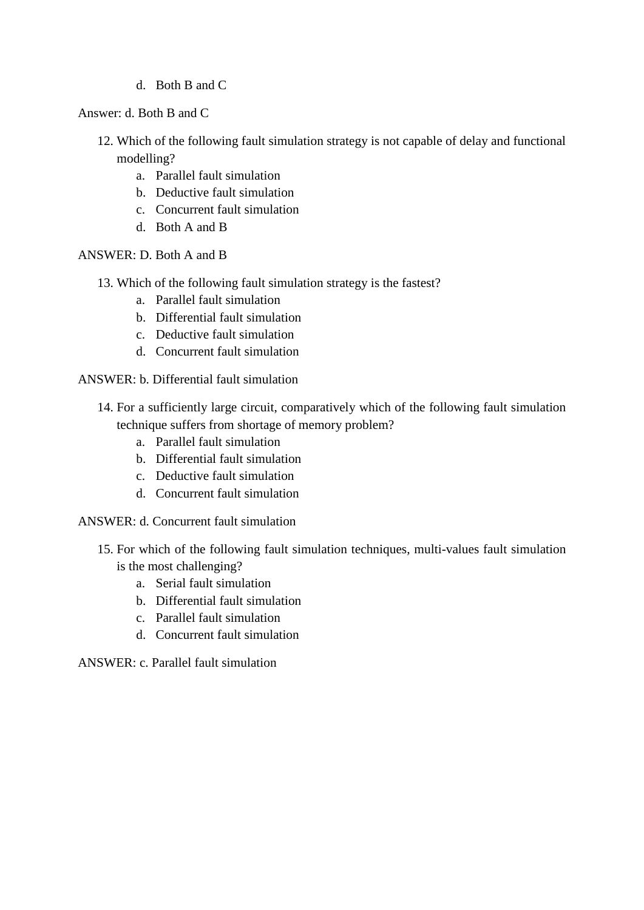d. Both B and C

Answer: d. Both B and C

- 12. Which of the following fault simulation strategy is not capable of delay and functional modelling?
	- a. Parallel fault simulation
	- b. Deductive fault simulation
	- c. Concurrent fault simulation
	- d. Both A and B

ANSWER: D. Both A and B

- 13. Which of the following fault simulation strategy is the fastest?
	- a. Parallel fault simulation
	- b. Differential fault simulation
	- c. Deductive fault simulation
	- d. Concurrent fault simulation

ANSWER: b. Differential fault simulation

- 14. For a sufficiently large circuit, comparatively which of the following fault simulation technique suffers from shortage of memory problem?
	- a. Parallel fault simulation
	- b. Differential fault simulation
	- c. Deductive fault simulation
	- d. Concurrent fault simulation
- ANSWER: d. Concurrent fault simulation
	- 15. For which of the following fault simulation techniques, multi-values fault simulation is the most challenging?
		- a. Serial fault simulation
		- b. Differential fault simulation
		- c. Parallel fault simulation
		- d. Concurrent fault simulation

ANSWER: c. Parallel fault simulation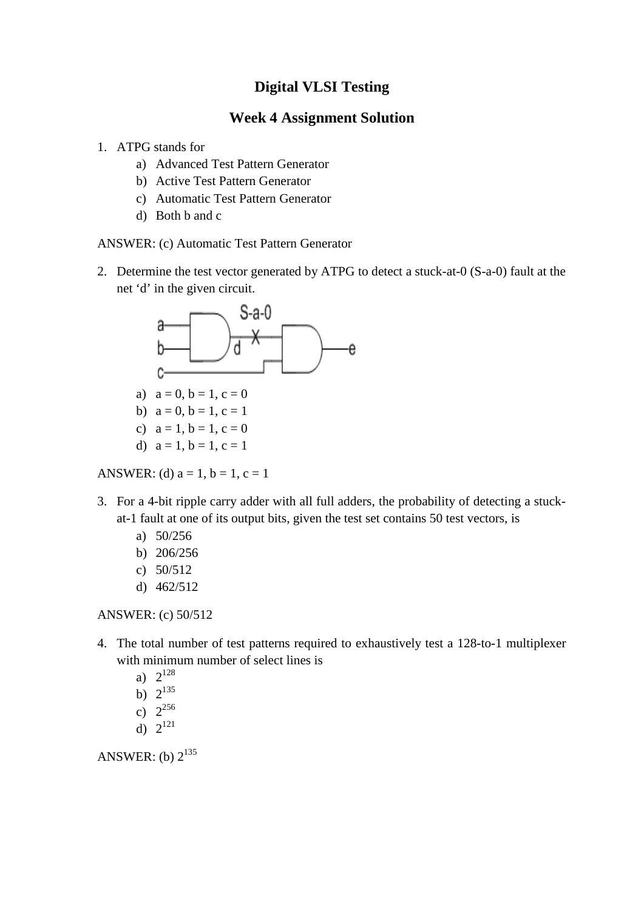### **Week 4 Assignment Solution**

- 1. ATPG stands for
	- a) Advanced Test Pattern Generator
	- b) Active Test Pattern Generator
	- c) Automatic Test Pattern Generator
	- d) Both b and c

ANSWER: (c) Automatic Test Pattern Generator

2. Determine the test vector generated by ATPG to detect a stuck-at-0 (S-a-0) fault at the net 'd' in the given circuit.



- b)  $a = 0, b = 1, c = 1$
- c)  $a = 1, b = 1, c = 0$
- d)  $a = 1, b = 1, c = 1$

ANSWER: (d)  $a = 1$ ,  $b = 1$ ,  $c = 1$ 

- 3. For a 4-bit ripple carry adder with all full adders, the probability of detecting a stuckat-1 fault at one of its output bits, given the test set contains 50 test vectors, is
	- a) 50/256
	- b) 206/256
	- c) 50/512
	- d) 462/512

ANSWER: (c) 50/512

- 4. The total number of test patterns required to exhaustively test a 128-to-1 multiplexer with minimum number of select lines is
	- a)  $2^{128}$
	- b)  $2^{135}$
	- c)  $2^{256}$
	- d)  $2^{121}$

ANSWER: (b)  $2^{135}$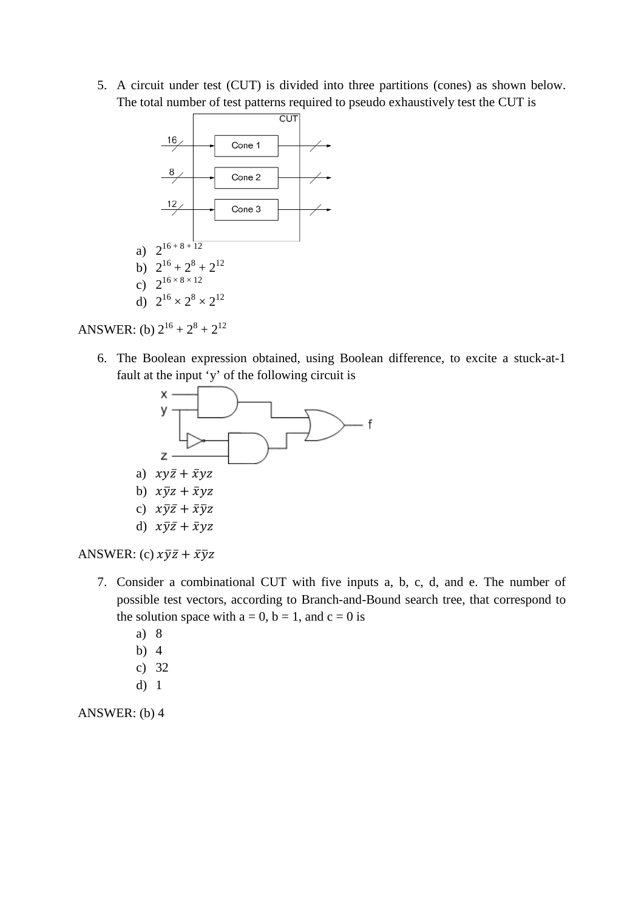5. A circuit under test (CUT) is divided into three partitions (cones) as shown below. The total number of test patterns required to pseudo exhaustively test the CUT is



ANSWER: (b)  $2^{16} + 2^8 + 2^{12}$ 

6. The Boolean expression obtained, using Boolean difference, to excite a stuck-at-1 fault at the input 'y' of the following circuit is



ANSWER: (c)  $x\overline{y}\overline{z} + \overline{x}\overline{y}z$ 

- 7. Consider a combinational CUT with five inputs a, b, c, d, and e. The number of possible test vectors, according to Branch-and-Bound search tree, that correspond to the solution space with  $a = 0$ ,  $b = 1$ , and  $c = 0$  is
	- a) 8
	- b) 4
	- c) 32
	- d) 1

ANSWER: (b) 4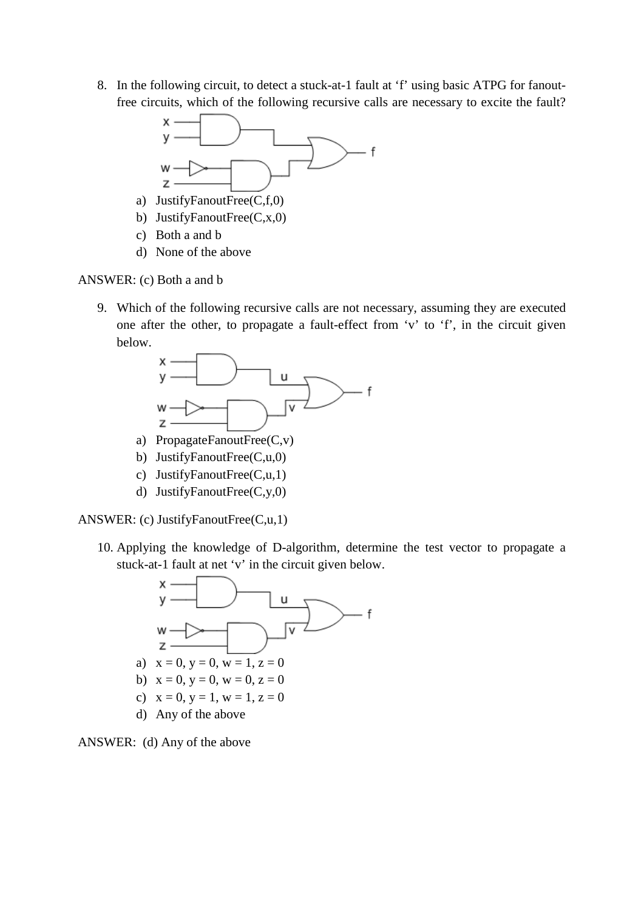8. In the following circuit, to detect a stuck-at-1 fault at 'f' using basic ATPG for fanoutfree circuits, which of the following recursive calls are necessary to excite the fault?



- a) JustifyFanoutFree(C,f,0)
- b) JustifyFanoutFree(C,x,0)
- c) Both a and b
- d) None of the above

ANSWER: (c) Both a and b

9. Which of the following recursive calls are not necessary, assuming they are executed one after the other, to propagate a fault-effect from 'v' to 'f', in the circuit given below.



- a) PropagateFanoutFree(C,v)
- b) JustifyFanoutFree(C,u,0)
- c) JustifyFanoutFree(C,u,1)
- d) JustifyFanoutFree(C,y,0)

ANSWER: (c) JustifyFanoutFree(C,u,1)

10. Applying the knowledge of D-algorithm, determine the test vector to propagate a stuck-at-1 fault at net 'v' in the circuit given below.



ANSWER: (d) Any of the above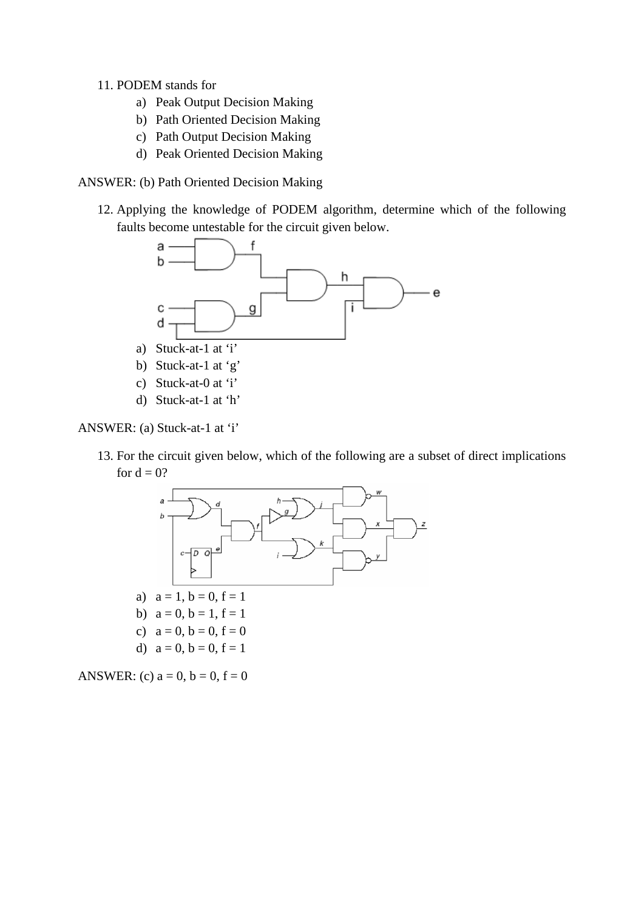#### 11. PODEM stands for

- a) Peak Output Decision Making
- b) Path Oriented Decision Making
- c) Path Output Decision Making
- d) Peak Oriented Decision Making

#### ANSWER: (b) Path Oriented Decision Making

12. Applying the knowledge of PODEM algorithm, determine which of the following faults become untestable for the circuit given below.



ANSWER: (a) Stuck-at-1 at 'i'

13. For the circuit given below, which of the following are a subset of direct implications for  $d = 0$ ?



ANSWER: (c)  $a = 0$ ,  $b = 0$ ,  $f = 0$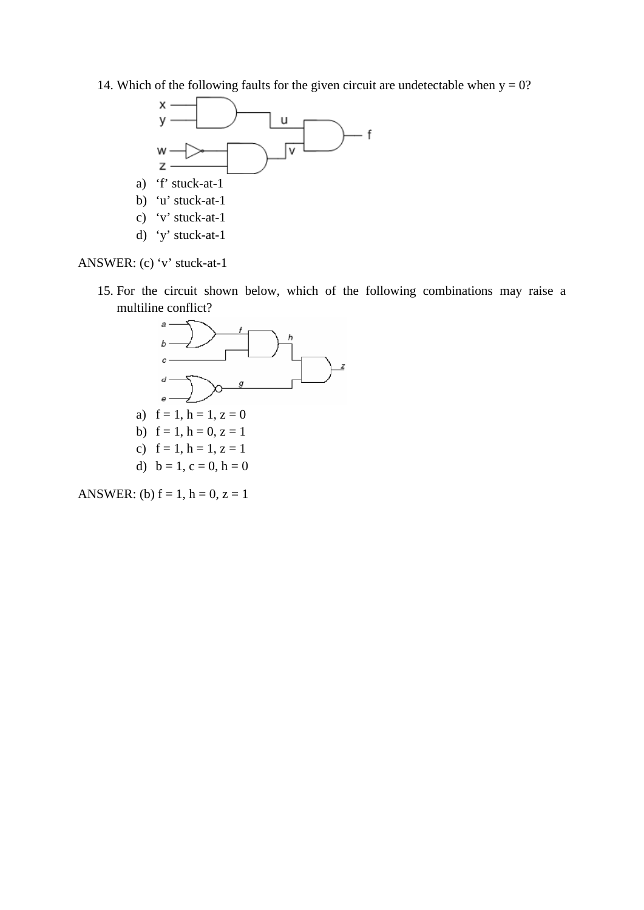14. Which of the following faults for the given circuit are undetectable when  $y = 0$ ?



ANSWER: (c) 'v' stuck-at-1

15. For the circuit shown below, which of the following combinations may raise a multiline conflict?



ANSWER: (b)  $f = 1$ ,  $h = 0$ ,  $z = 1$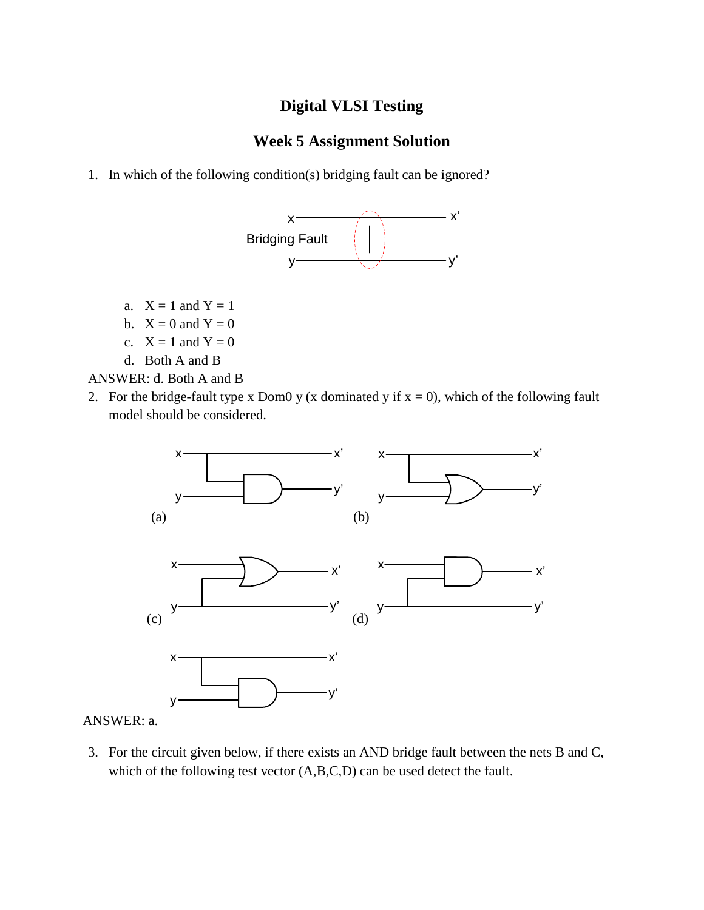## **Week 5 Assignment Solution**

1. In which of the following condition(s) bridging fault can be ignored?



- a.  $X = 1$  and  $Y = 1$
- b.  $X = 0$  and  $Y = 0$
- c.  $X = 1$  and  $Y = 0$
- d. Both A and B

ANSWER: d. Both A and B

2. For the bridge-fault type x Dom0 y (x dominated y if  $x = 0$ ), which of the following fault model should be considered.



ANSWER: a.

3. For the circuit given below, if there exists an AND bridge fault between the nets B and C, which of the following test vector  $(A, B, C, D)$  can be used detect the fault.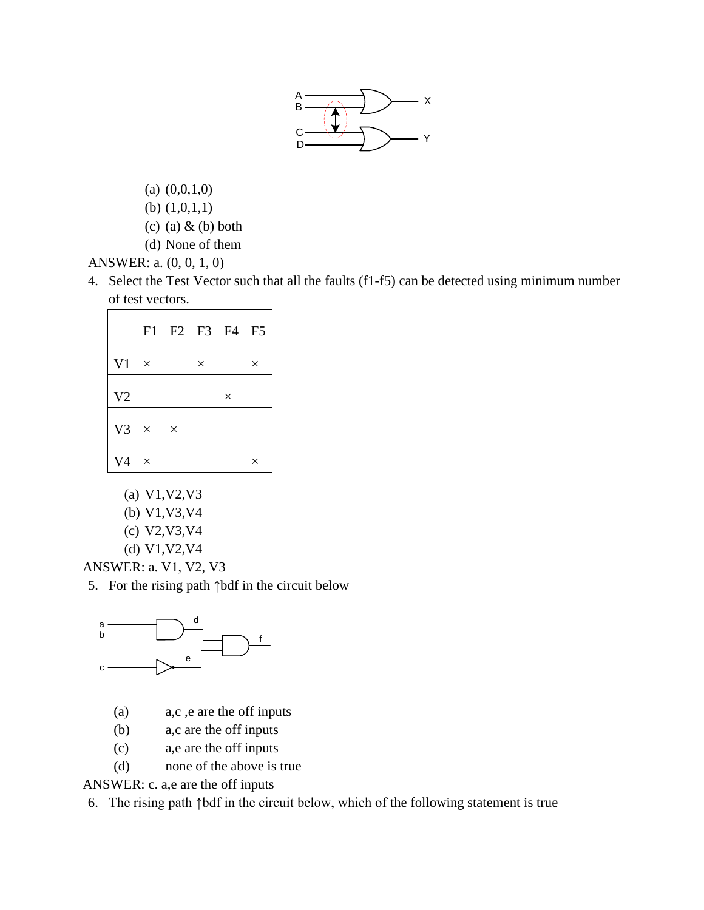

- (a) (0,0,1,0)
- (b) (1,0,1,1)
- (c) (a)  $\&$  (b) both
- (d) None of them

ANSWER: a. (0, 0, 1, 0)

4. Select the Test Vector such that all the faults (f1-f5) can be detected using minimum number of test vectors.

|                | F1       | F2       | F <sub>3</sub> | F <sub>4</sub> | F <sub>5</sub> |
|----------------|----------|----------|----------------|----------------|----------------|
| V <sub>1</sub> | $\times$ |          | $\times$       |                | $\times$       |
| V2             |          |          |                | $\times$       |                |
| V3             | $\times$ | $\times$ |                |                |                |
| V <sub>4</sub> | $\times$ |          |                |                | $\times$       |

- (a) V1,V2,V3
- (b) V1,V3,V4
- (c) V2,V3,V4
- (d) V1,V2,V4

ANSWER: a. V1, V2, V3

5. For the rising path ↑bdf in the circuit below



- (a) a,c ,e are the off inputs
- (b) a,c are the off inputs
- (c) a,e are the off inputs
- (d) none of the above is true

ANSWER: c. a,e are the off inputs

6. The rising path ↑bdf in the circuit below, which of the following statement is true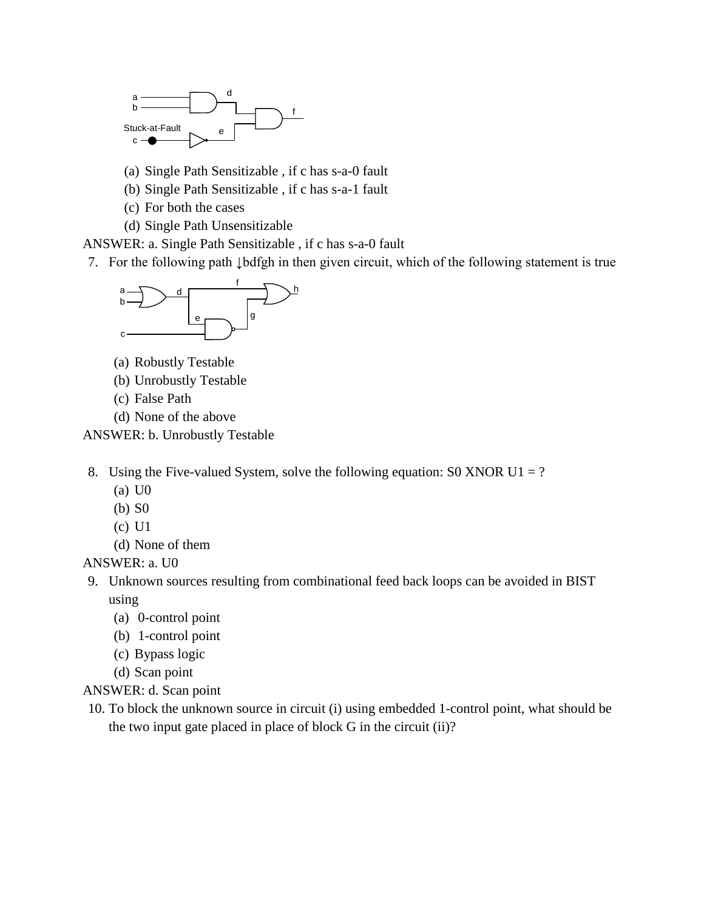

- (a) Single Path Sensitizable , if c has s-a-0 fault
- (b) Single Path Sensitizable , if c has s-a-1 fault
- (c) For both the cases
- (d) Single Path Unsensitizable
- ANSWER: a. Single Path Sensitizable , if c has s-a-0 fault
- 7. For the following path ↓bdfgh in then given circuit, which of the following statement is true



- (a) Robustly Testable
- (b) Unrobustly Testable
- (c) False Path
- (d) None of the above

ANSWER: b. Unrobustly Testable

- 8. Using the Five-valued System, solve the following equation: S0 XNOR U1 = ?
	- (a) U0
	- (b) S0
	- (c) U1
	- (d) None of them

#### ANSWER: a. U0

- 9. Unknown sources resulting from combinational feed back loops can be avoided in BIST using
	- (a) 0-control point
	- (b) 1-control point
	- (c) Bypass logic
	- (d) Scan point
- ANSWER: d. Scan point
- 10. To block the unknown source in circuit (i) using embedded 1-control point, what should be the two input gate placed in place of block G in the circuit (ii)?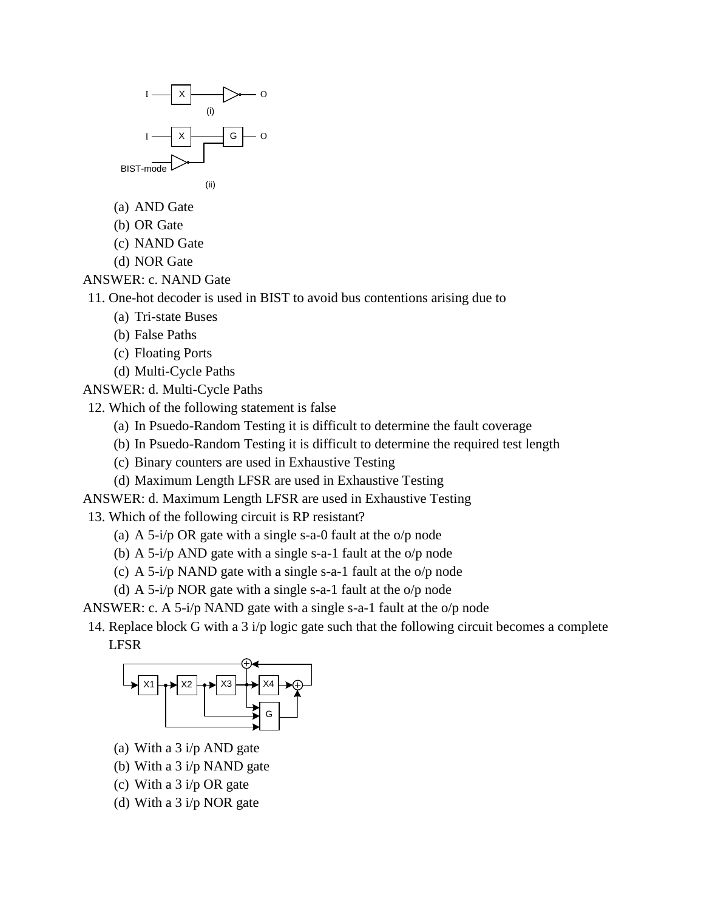

- (a) AND Gate
- (b) OR Gate
- (c) NAND Gate
- (d) NOR Gate
- ANSWER: c. NAND Gate
- 11. One-hot decoder is used in BIST to avoid bus contentions arising due to
	- (a) Tri-state Buses
	- (b) False Paths
	- (c) Floating Ports
	- (d) Multi-Cycle Paths
- ANSWER: d. Multi-Cycle Paths
- 12. Which of the following statement is false
	- (a) In Psuedo-Random Testing it is difficult to determine the fault coverage
	- (b) In Psuedo-Random Testing it is difficult to determine the required test length
	- (c) Binary counters are used in Exhaustive Testing
	- (d) Maximum Length LFSR are used in Exhaustive Testing
- ANSWER: d. Maximum Length LFSR are used in Exhaustive Testing
- 13. Which of the following circuit is RP resistant?
	- (a) A 5-i/p OR gate with a single s-a-0 fault at the o/p node
	- (b) A 5-i/p AND gate with a single s-a-1 fault at the o/p node
	- (c) A 5-i/p NAND gate with a single s-a-1 fault at the o/p node
	- (d) A 5-i/p NOR gate with a single s-a-1 fault at the o/p node
- ANSWER: c. A 5-i/p NAND gate with a single s-a-1 fault at the o/p node
- 14. Replace block G with a 3 i/p logic gate such that the following circuit becomes a complete LFSR



- (a) With a 3 i/p AND gate
- (b) With a 3 i/p NAND gate
- (c) With a 3 i/p OR gate
- (d) With a 3 i/p NOR gate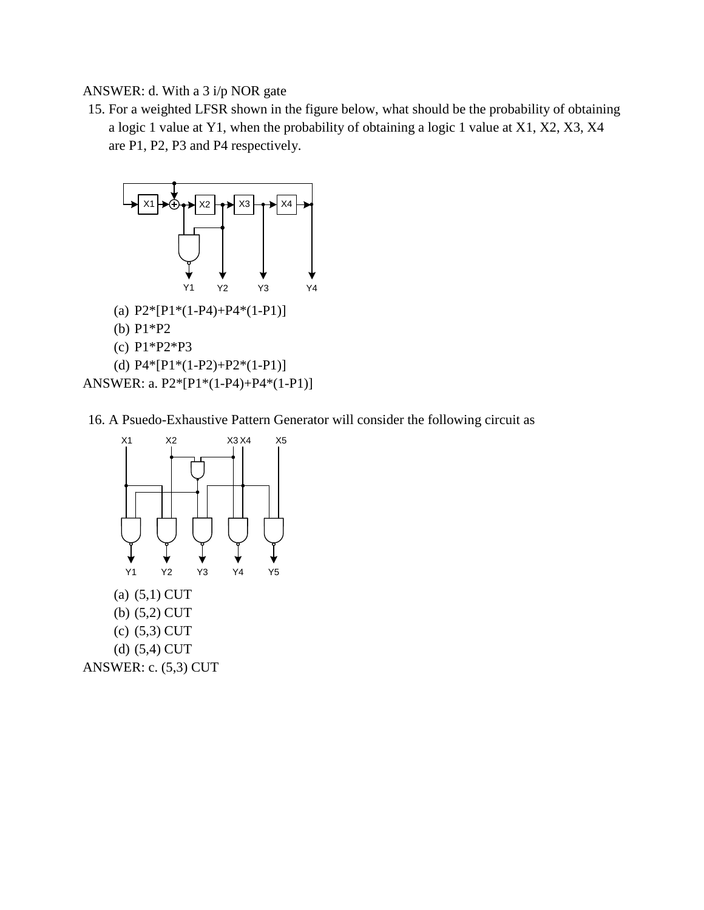ANSWER: d. With a 3 i/p NOR gate

15. For a weighted LFSR shown in the figure below, what should be the probability of obtaining a logic 1 value at Y1, when the probability of obtaining a logic 1 value at X1, X2, X3, X4 are P1, P2, P3 and P4 respectively.



16. A Psuedo-Exhaustive Pattern Generator will consider the following circuit as

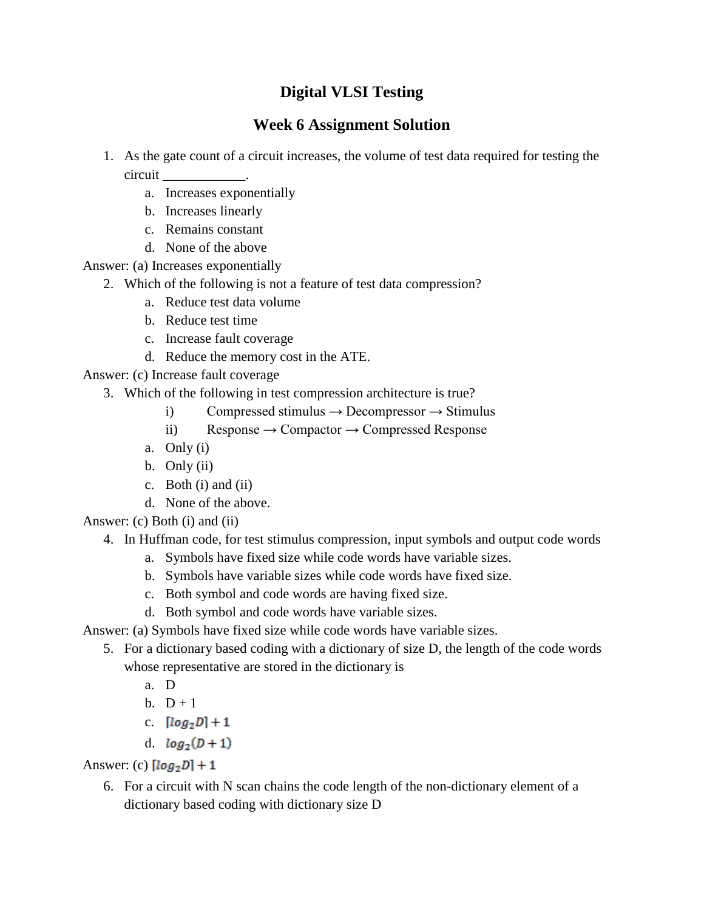### **Week 6 Assignment Solution**

- 1. As the gate count of a circuit increases, the volume of test data required for testing the circuit \_\_\_\_\_\_\_\_\_\_\_\_.
	- a. Increases exponentially
	- b. Increases linearly
	- c. Remains constant
	- d. None of the above

Answer: (a) Increases exponentially

- 2. Which of the following is not a feature of test data compression?
	- a. Reduce test data volume
	- b. Reduce test time
	- c. Increase fault coverage
	- d. Reduce the memory cost in the ATE.

Answer: (c) Increase fault coverage

- 3. Which of the following in test compression architecture is true?
	- i) Compressed stimulus  $\rightarrow$  Decompressor  $\rightarrow$  Stimulus
	- ii) Response  $\rightarrow$  Compactor  $\rightarrow$  Compressed Response
	- a. Only (i)
	- b. Only (ii)
	- c. Both (i) and (ii)
	- d. None of the above.

Answer: (c) Both (i) and (ii)

### 4. In Huffman code, for test stimulus compression, input symbols and output code words

- a. Symbols have fixed size while code words have variable sizes.
- b. Symbols have variable sizes while code words have fixed size.
- c. Both symbol and code words are having fixed size.
- d. Both symbol and code words have variable sizes.

Answer: (a) Symbols have fixed size while code words have variable sizes.

- 5. For a dictionary based coding with a dictionary of size D, the length of the code words whose representative are stored in the dictionary is
	- a. D
	- b.  $D+1$
	- c.  $[log_2 D] + 1$
	- d.  $log_2(D+1)$

Answer: (c)  $[log_2 D] + 1$ 

6. For a circuit with N scan chains the code length of the non-dictionary element of a dictionary based coding with dictionary size D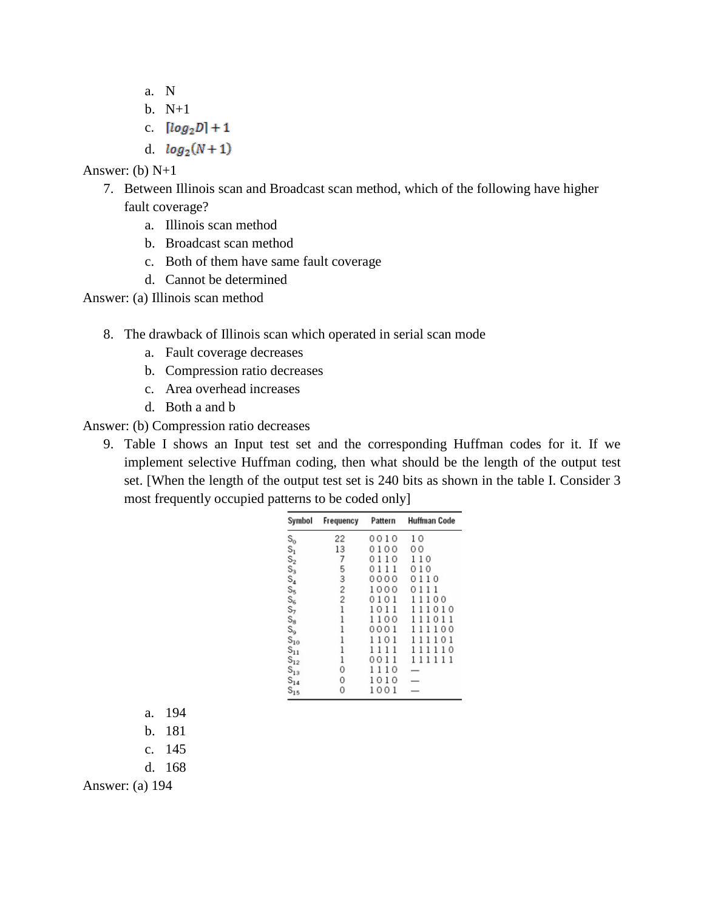- a. N
- b. N+1
- c.  $[log_2 D] + 1$
- d.  $log_2(N+1)$

Answer: (b) N+1

- 7. Between Illinois scan and Broadcast scan method, which of the following have higher fault coverage?
	- a. Illinois scan method
	- b. Broadcast scan method
	- c. Both of them have same fault coverage
	- d. Cannot be determined

Answer: (a) Illinois scan method

- 8. The drawback of Illinois scan which operated in serial scan mode
	- a. Fault coverage decreases
	- b. Compression ratio decreases
	- c. Area overhead increases
	- d. Both a and b

Answer: (b) Compression ratio decreases

9. Table I shows an Input test set and the corresponding Huffman codes for it. If we implement selective Huffman coding, then what should be the length of the output test set. [When the length of the output test set is 240 bits as shown in the table I. Consider 3 most frequently occupied patterns to be coded only]

| Symbol            | Frequency      | Pattern | <b>Huffman Code</b> |
|-------------------|----------------|---------|---------------------|
|                   | 22             | 0010    | 10                  |
|                   | 13             | 0100    | 0 <sup>0</sup>      |
|                   | 7              | 0110    | 110                 |
|                   | 5              | 0111    | 010                 |
|                   | 3              | 0000    | 0110                |
|                   | $\overline{c}$ | 1000    | 0<br>111            |
|                   | $\overline{2}$ | 0101    | 11100               |
|                   | 1              | 1011    | 111010              |
|                   | 1              | 1100    | 111011              |
|                   | 1              | 0001    | 111100              |
|                   | 1              | 1101    | 111101              |
|                   | 1              | 1111    | 111110              |
| $S_{12}$          | 1              | 0011    | 111111              |
| $S_{13}$          | 0              | 1110    |                     |
| $S_{14}$          | 0              | 1010    |                     |
| $\mathbb{S}_{15}$ | 0              | 1001    |                     |

- a. 194
- b. 181
- c. 145
- d. 168

Answer: (a) 194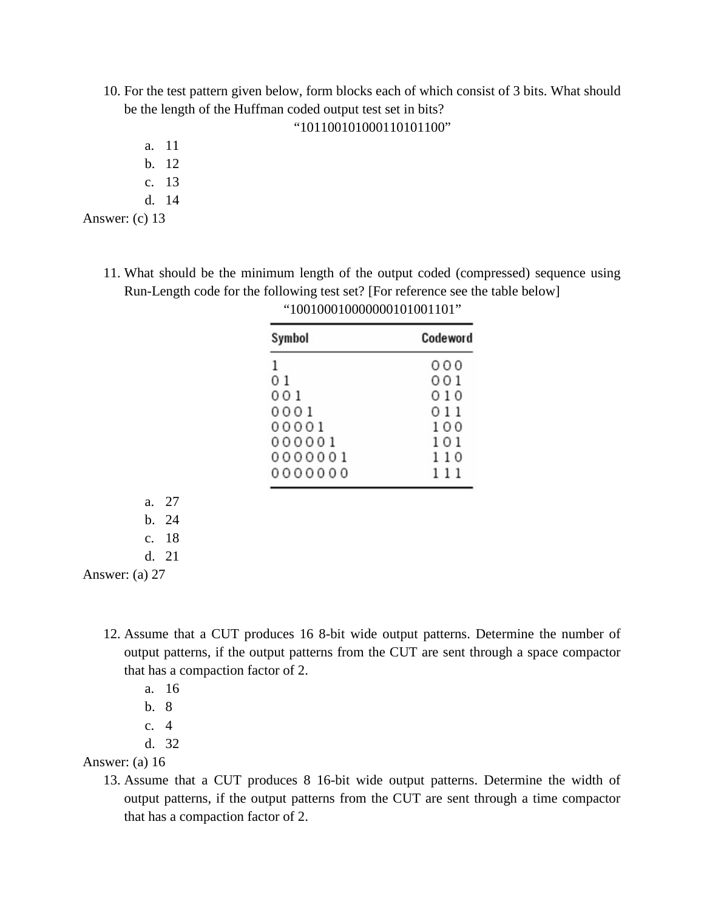10. For the test pattern given below, form blocks each of which consist of 3 bits. What should be the length of the Huffman coded output test set in bits?

### "101100101000110101100"

- a. 11
- b. 12
- c. 13
- d. 14

Answer: (c) 13

11. What should be the minimum length of the output coded (compressed) sequence using Run-Length code for the following test set? [For reference see the table below]

| Symbol  | Codeword |
|---------|----------|
| 1       | 000      |
| 01      | 001      |
| 001     | 010      |
| 0001    | 011      |
| 00001   | 100      |
| 000001  | 101      |
| 0000001 | 110      |
| 0000000 | 111      |

| "100100010000000101001101" |  |
|----------------------------|--|
|----------------------------|--|

Answer: (a) 27

- 12. Assume that a CUT produces 16 8-bit wide output patterns. Determine the number of output patterns, if the output patterns from the CUT are sent through a space compactor that has a compaction factor of 2.
	- a. 16

a. 27 b. 24 c. 18 d. 21

- b. 8
- c. 4
- d. 32

#### Answer: (a) 16

13. Assume that a CUT produces 8 16-bit wide output patterns. Determine the width of output patterns, if the output patterns from the CUT are sent through a time compactor that has a compaction factor of 2.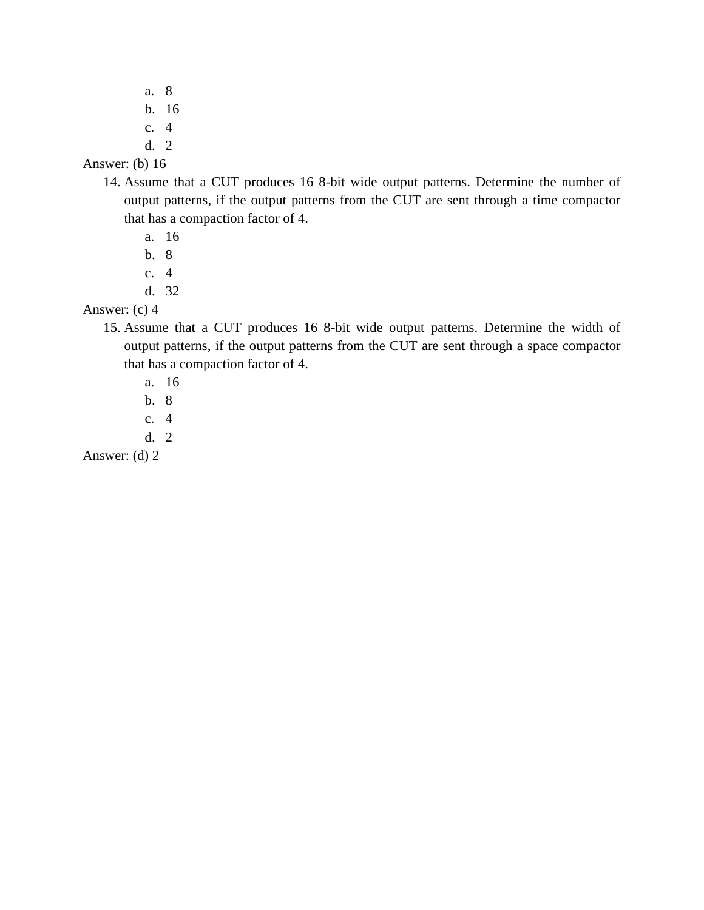- a. 8 b. 16
- c. 4
- d. 2

### Answer: (b) 16

- 14. Assume that a CUT produces 16 8-bit wide output patterns. Determine the number of output patterns, if the output patterns from the CUT are sent through a time compactor that has a compaction factor of 4.
	- a. 16
	- b. 8
	- c. 4
	- d. 32
- Answer: (c) 4
	- 15. Assume that a CUT produces 16 8-bit wide output patterns. Determine the width of output patterns, if the output patterns from the CUT are sent through a space compactor that has a compaction factor of 4.
		- a. 16
		- b. 8
		- c. 4
		- d. 2

Answer: (d) 2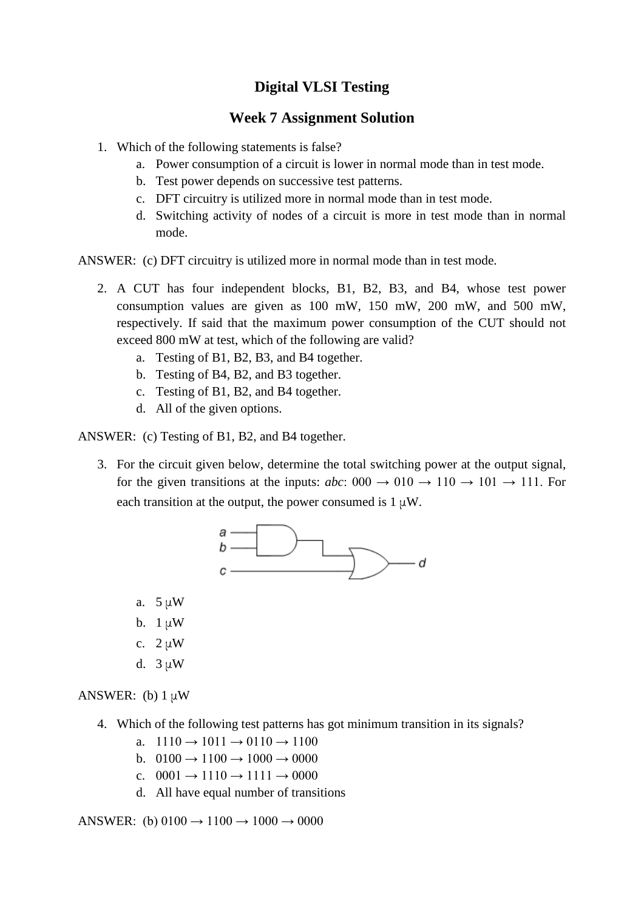### **Week 7 Assignment Solution**

- 1. Which of the following statements is false?
	- a. Power consumption of a circuit is lower in normal mode than in test mode.
	- b. Test power depends on successive test patterns.
	- c. DFT circuitry is utilized more in normal mode than in test mode.
	- d. Switching activity of nodes of a circuit is more in test mode than in normal mode.

ANSWER: (c) DFT circuitry is utilized more in normal mode than in test mode.

- 2. A CUT has four independent blocks, B1, B2, B3, and B4, whose test power consumption values are given as 100 mW, 150 mW, 200 mW, and 500 mW, respectively. If said that the maximum power consumption of the CUT should not exceed 800 mW at test, which of the following are valid?
	- a. Testing of B1, B2, B3, and B4 together.
	- b. Testing of B4, B2, and B3 together.
	- c. Testing of B1, B2, and B4 together.
	- d. All of the given options.

ANSWER: (c) Testing of B1, B2, and B4 together.

3. For the circuit given below, determine the total switching power at the output signal, for the given transitions at the inputs:  $abc$ : 000  $\rightarrow$  010  $\rightarrow$  110  $\rightarrow$  101  $\rightarrow$  111. For each transition at the output, the power consumed is  $1 \mu W$ .



- a. 5 μW
- b.  $1 \mu W$
- c.  $2 \mu W$
- d. 3 μW

ANSWER: (b)  $1 \mu W$ 

- 4. Which of the following test patterns has got minimum transition in its signals?
	- a.  $1110 \rightarrow 1011 \rightarrow 0110 \rightarrow 1100$
	- b.  $0100 \rightarrow 1100 \rightarrow 1000 \rightarrow 0000$
	- c.  $0001 \rightarrow 1110 \rightarrow 1111 \rightarrow 0000$
	- d. All have equal number of transitions

ANSWER: (b)  $0100 \rightarrow 1100 \rightarrow 1000 \rightarrow 0000$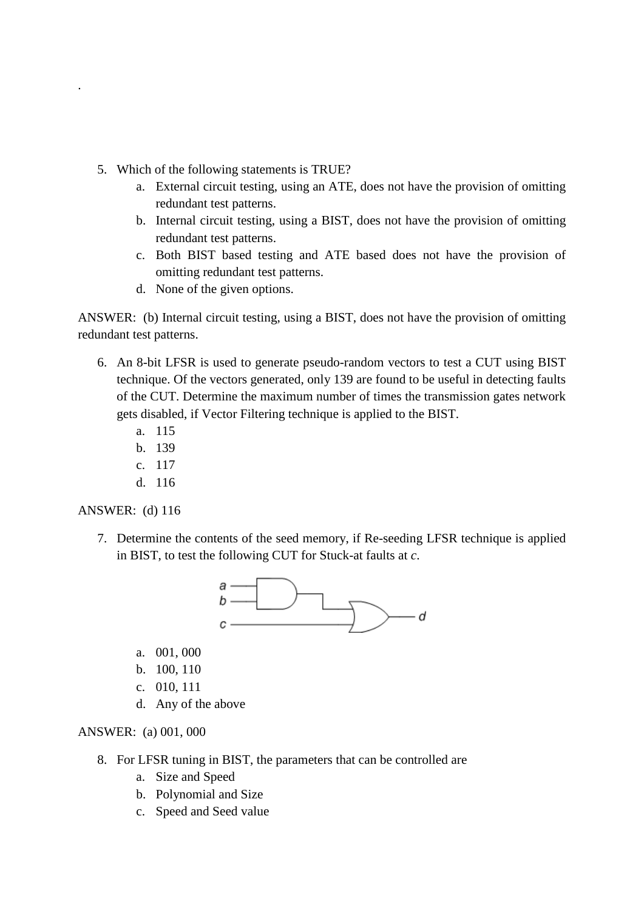- 5. Which of the following statements is TRUE?
	- a. External circuit testing, using an ATE, does not have the provision of omitting redundant test patterns.
	- b. Internal circuit testing, using a BIST, does not have the provision of omitting redundant test patterns.
	- c. Both BIST based testing and ATE based does not have the provision of omitting redundant test patterns.
	- d. None of the given options.

ANSWER: (b) Internal circuit testing, using a BIST, does not have the provision of omitting redundant test patterns.

- 6. An 8-bit LFSR is used to generate pseudo-random vectors to test a CUT using BIST technique. Of the vectors generated, only 139 are found to be useful in detecting faults of the CUT. Determine the maximum number of times the transmission gates network gets disabled, if Vector Filtering technique is applied to the BIST.
	- a. 115
	- b. 139
	- c. 117
	- d. 116

ANSWER: (d) 116

.

7. Determine the contents of the seed memory, if Re-seeding LFSR technique is applied in BIST, to test the following CUT for Stuck-at faults at *c*.



- a. 001, 000
- b. 100, 110
- c. 010, 111
- d. Any of the above

ANSWER: (a) 001, 000

- 8. For LFSR tuning in BIST, the parameters that can be controlled are
	- a. Size and Speed
	- b. Polynomial and Size
	- c. Speed and Seed value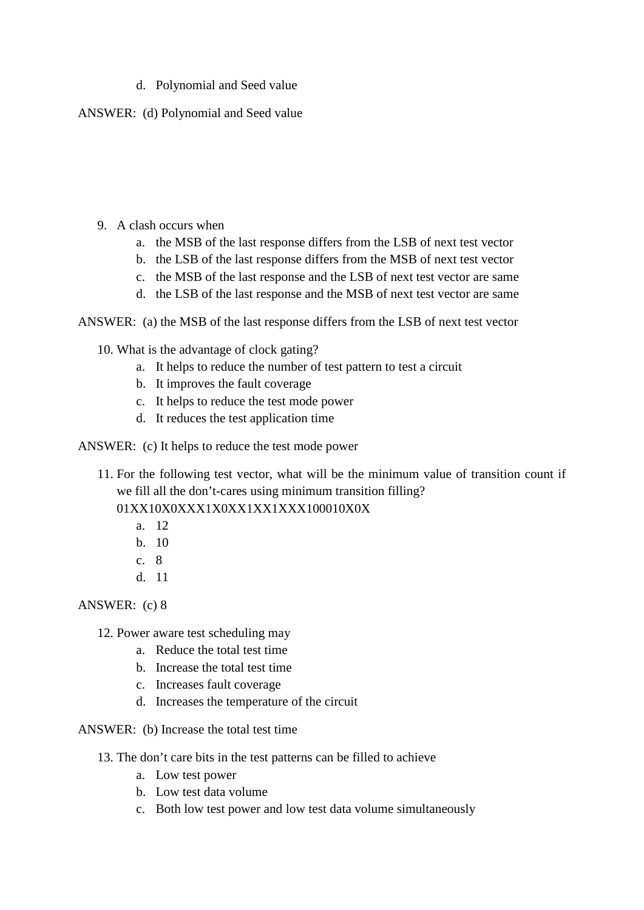### d. Polynomial and Seed value

ANSWER: (d) Polynomial and Seed value

- 9. A clash occurs when
	- a. the MSB of the last response differs from the LSB of next test vector
	- b. the LSB of the last response differs from the MSB of next test vector
	- c. the MSB of the last response and the LSB of next test vector are same
	- d. the LSB of the last response and the MSB of next test vector are same

ANSWER: (a) the MSB of the last response differs from the LSB of next test vector

10. What is the advantage of clock gating?

- a. It helps to reduce the number of test pattern to test a circuit
- b. It improves the fault coverage
- c. It helps to reduce the test mode power
- d. It reduces the test application time
- ANSWER: (c) It helps to reduce the test mode power
	- 11. For the following test vector, what will be the minimum value of transition count if we fill all the don't-cares using minimum transition filling? 01XX10X0XXX1X0XX1XX1XXX100010X0X
		- a. 12
		- b. 10
		- c. 8
		- d. 11

ANSWER: (c) 8

- 12. Power aware test scheduling may
	- a. Reduce the total test time
	- b. Increase the total test time
	- c. Increases fault coverage
	- d. Increases the temperature of the circuit

ANSWER: (b) Increase the total test time

- 13. The don't care bits in the test patterns can be filled to achieve
	- a. Low test power
	- b. Low test data volume
	- c. Both low test power and low test data volume simultaneously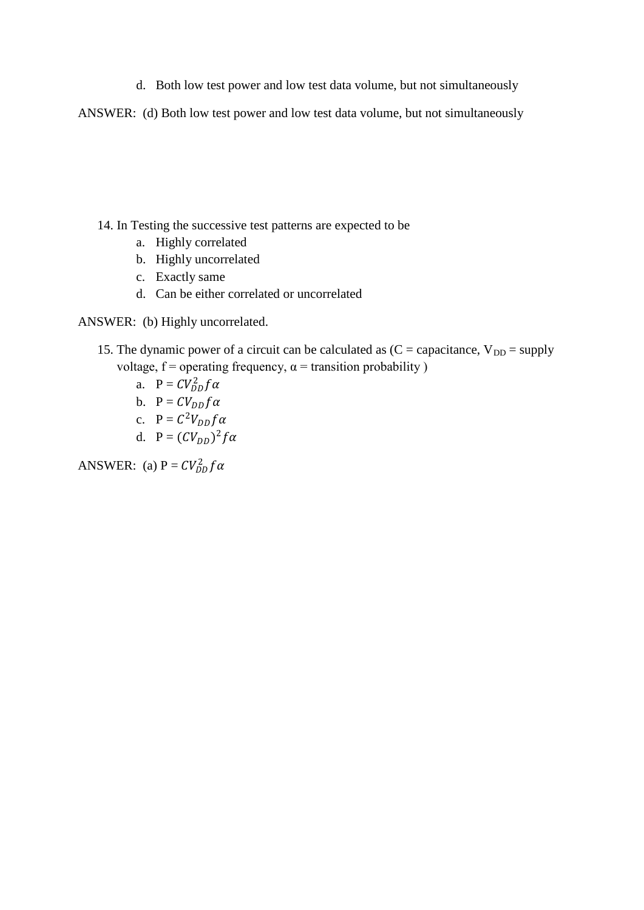d. Both low test power and low test data volume, but not simultaneously

ANSWER: (d) Both low test power and low test data volume, but not simultaneously

- 14. In Testing the successive test patterns are expected to be
	- a. Highly correlated
	- b. Highly uncorrelated
	- c. Exactly same
	- d. Can be either correlated or uncorrelated

#### ANSWER: (b) Highly uncorrelated.

- 15. The dynamic power of a circuit can be calculated as  $(C =$  capacitance,  $V_{DD} =$  supply voltage,  $f =$  operating frequency,  $\alpha =$  transition probability )
	- a.  $P = CV_{DD}^2 f \alpha$
	- b.  $P = CV_{DD} f \alpha$
	- c.  $P = C^2 V_{DD} f \alpha$
	- d.  $P = (CV_{DD})^2 f \alpha$

ANSWER: (a)  $P = CV_{DD}^2 f \alpha$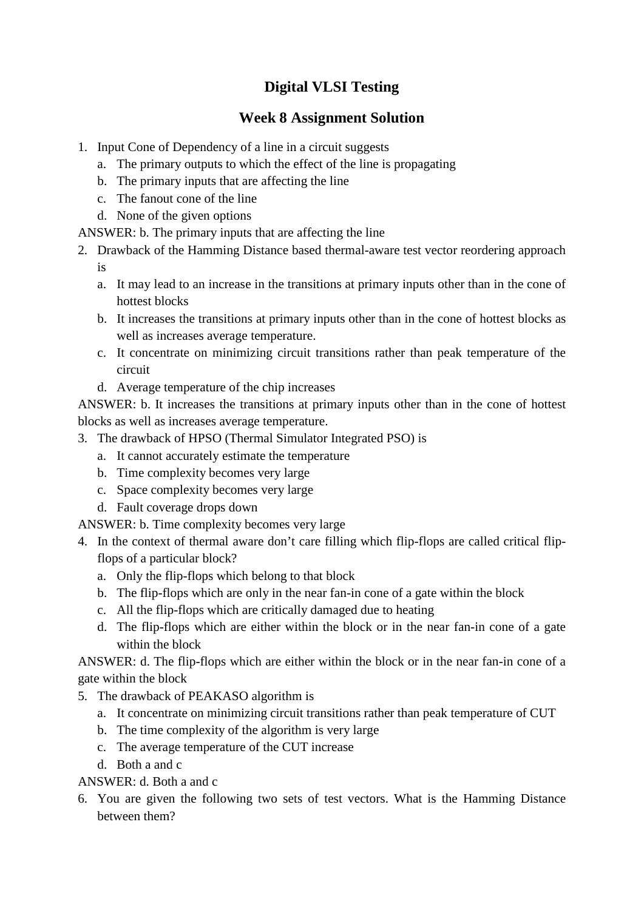### **Week 8 Assignment Solution**

- 1. Input Cone of Dependency of a line in a circuit suggests
	- a. The primary outputs to which the effect of the line is propagating
	- b. The primary inputs that are affecting the line
	- c. The fanout cone of the line
	- d. None of the given options

ANSWER: b. The primary inputs that are affecting the line

- 2. Drawback of the Hamming Distance based thermal-aware test vector reordering approach is
	- a. It may lead to an increase in the transitions at primary inputs other than in the cone of hottest blocks
	- b. It increases the transitions at primary inputs other than in the cone of hottest blocks as well as increases average temperature.
	- c. It concentrate on minimizing circuit transitions rather than peak temperature of the circuit
	- d. Average temperature of the chip increases

ANSWER: b. It increases the transitions at primary inputs other than in the cone of hottest blocks as well as increases average temperature.

- 3. The drawback of HPSO (Thermal Simulator Integrated PSO) is
	- a. It cannot accurately estimate the temperature
	- b. Time complexity becomes very large
	- c. Space complexity becomes very large
	- d. Fault coverage drops down

ANSWER: b. Time complexity becomes very large

- 4. In the context of thermal aware don't care filling which flip-flops are called critical flipflops of a particular block?
	- a. Only the flip-flops which belong to that block
	- b. The flip-flops which are only in the near fan-in cone of a gate within the block
	- c. All the flip-flops which are critically damaged due to heating
	- d. The flip-flops which are either within the block or in the near fan-in cone of a gate within the block

ANSWER: d. The flip-flops which are either within the block or in the near fan-in cone of a gate within the block

- 5. The drawback of PEAKASO algorithm is
	- a. It concentrate on minimizing circuit transitions rather than peak temperature of CUT
	- b. The time complexity of the algorithm is very large
	- c. The average temperature of the CUT increase
	- d. Both a and c

ANSWER: d. Both a and c

6. You are given the following two sets of test vectors. What is the Hamming Distance between them?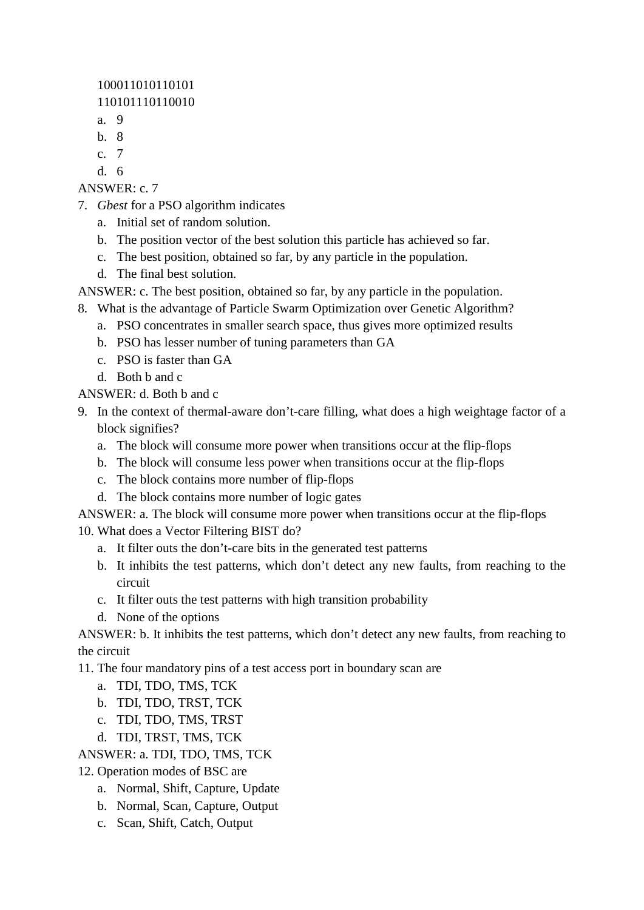100011010110101 110101110110010

- a. 9
- b. 8
- c. 7
- d. 6

ANSWER: c. 7

- 7. *Gbest* for a PSO algorithm indicates
	- a. Initial set of random solution.
	- b. The position vector of the best solution this particle has achieved so far.
	- c. The best position, obtained so far, by any particle in the population.
	- d. The final best solution.

ANSWER: c. The best position, obtained so far, by any particle in the population.

- 8. What is the advantage of Particle Swarm Optimization over Genetic Algorithm?
	- a. PSO concentrates in smaller search space, thus gives more optimized results
	- b. PSO has lesser number of tuning parameters than GA
	- c. PSO is faster than GA
	- d. Both b and c

ANSWER: d. Both b and c

- 9. In the context of thermal-aware don't-care filling, what does a high weightage factor of a block signifies?
	- a. The block will consume more power when transitions occur at the flip-flops
	- b. The block will consume less power when transitions occur at the flip-flops
	- c. The block contains more number of flip-flops
	- d. The block contains more number of logic gates

ANSWER: a. The block will consume more power when transitions occur at the flip-flops 10. What does a Vector Filtering BIST do?

- a. It filter outs the don't-care bits in the generated test patterns
- b. It inhibits the test patterns, which don't detect any new faults, from reaching to the circuit
- c. It filter outs the test patterns with high transition probability
- d. None of the options

ANSWER: b. It inhibits the test patterns, which don't detect any new faults, from reaching to the circuit

11. The four mandatory pins of a test access port in boundary scan are

- a. TDI, TDO, TMS, TCK
- b. TDI, TDO, TRST, TCK
- c. TDI, TDO, TMS, TRST
- d. TDI, TRST, TMS, TCK

ANSWER: a. TDI, TDO, TMS, TCK

- 12. Operation modes of BSC are
	- a. Normal, Shift, Capture, Update
	- b. Normal, Scan, Capture, Output
	- c. Scan, Shift, Catch, Output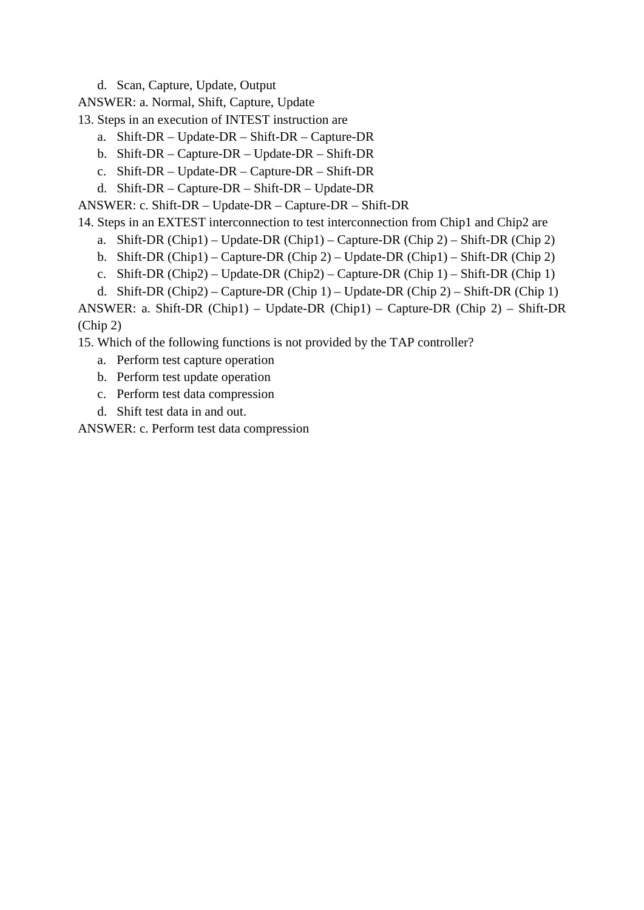d. Scan, Capture, Update, Output

ANSWER: a. Normal, Shift, Capture, Update

13. Steps in an execution of INTEST instruction are

- a. Shift-DR Update-DR Shift-DR Capture-DR
- b. Shift-DR Capture-DR Update-DR Shift-DR
- c. Shift-DR Update-DR Capture-DR Shift-DR
- d. Shift-DR Capture-DR Shift-DR Update-DR

ANSWER: c. Shift-DR – Update-DR – Capture-DR – Shift-DR

- 14. Steps in an EXTEST interconnection to test interconnection from Chip1 and Chip2 are
	- a. Shift-DR (Chip1) Update-DR (Chip1) Capture-DR (Chip 2) Shift-DR (Chip 2)
	- b. Shift-DR (Chip1) Capture-DR (Chip 2) Update-DR (Chip1) Shift-DR (Chip 2)
	- c. Shift-DR (Chip2) Update-DR (Chip2) Capture-DR (Chip 1) Shift-DR (Chip 1)
	- d. Shift-DR (Chip2) Capture-DR (Chip 1) Update-DR (Chip 2) Shift-DR (Chip 1)

ANSWER: a. Shift-DR (Chip1) – Update-DR (Chip1) – Capture-DR (Chip 2) – Shift-DR (Chip 2)

15. Which of the following functions is not provided by the TAP controller?

- a. Perform test capture operation
- b. Perform test update operation
- c. Perform test data compression
- d. Shift test data in and out.

ANSWER: c. Perform test data compression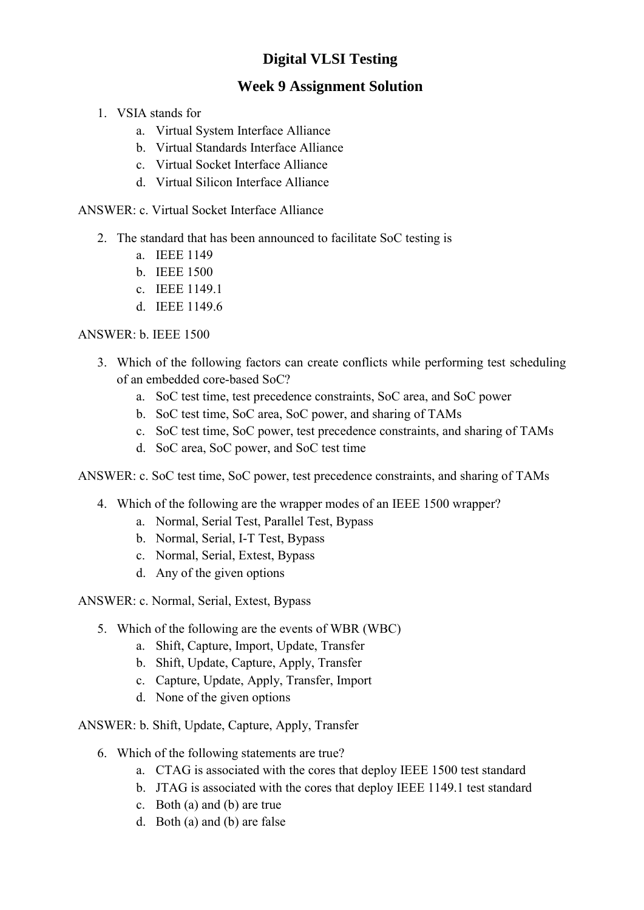## **Week 9 Assignment Solution**

- 1. VSIA stands for
	- a. Virtual System Interface Alliance
	- b. Virtual Standards Interface Alliance
	- c. Virtual Socket Interface Alliance
	- d. Virtual Silicon Interface Alliance

ANSWER: c. Virtual Socket Interface Alliance

- 2. The standard that has been announced to facilitate SoC testing is
	- a. IEEE 1149
	- b. IEEE 1500
	- c. IEEE 1149.1
	- d. IEEE 1149.6

### ANSWER: b. IEEE 1500

- 3. Which of the following factors can create conflicts while performing test scheduling of an embedded core-based SoC?
	- a. SoC test time, test precedence constraints, SoC area, and SoC power
	- b. SoC test time, SoC area, SoC power, and sharing of TAMs
	- c. SoC test time, SoC power, test precedence constraints, and sharing of TAMs
	- d. SoC area, SoC power, and SoC test time

ANSWER: c. SoC test time, SoC power, test precedence constraints, and sharing of TAMs

- 4. Which of the following are the wrapper modes of an IEEE 1500 wrapper?
	- a. Normal, Serial Test, Parallel Test, Bypass
	- b. Normal, Serial, I-T Test, Bypass
	- c. Normal, Serial, Extest, Bypass
	- d. Any of the given options

ANSWER: c. Normal, Serial, Extest, Bypass

- 5. Which of the following are the events of WBR (WBC)
	- a. Shift, Capture, Import, Update, Transfer
	- b. Shift, Update, Capture, Apply, Transfer
	- c. Capture, Update, Apply, Transfer, Import
	- d. None of the given options

ANSWER: b. Shift, Update, Capture, Apply, Transfer

- 6. Which of the following statements are true?
	- a. CTAG is associated with the cores that deploy IEEE 1500 test standard
	- b. JTAG is associated with the cores that deploy IEEE 1149.1 test standard
	- c. Both (a) and (b) are true
	- d. Both (a) and (b) are false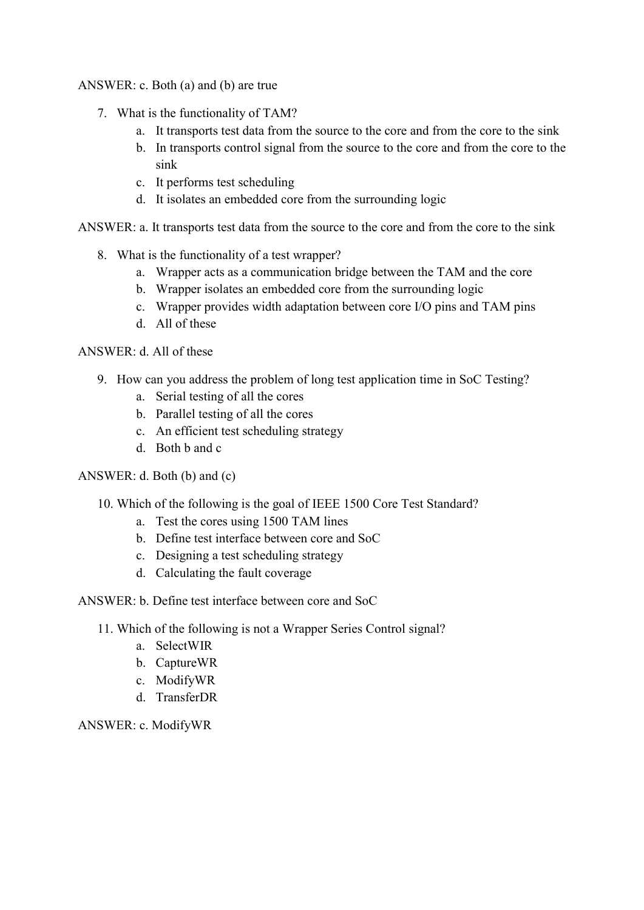### ANSWER: c. Both (a) and (b) are true

- 7. What is the functionality of TAM?
	- a. It transports test data from the source to the core and from the core to the sink
	- b. In transports control signal from the source to the core and from the core to the sink
	- c. It performs test scheduling
	- d. It isolates an embedded core from the surrounding logic

ANSWER: a. It transports test data from the source to the core and from the core to the sink

- 8. What is the functionality of a test wrapper?
	- a. Wrapper acts as a communication bridge between the TAM and the core
	- b. Wrapper isolates an embedded core from the surrounding logic
	- c. Wrapper provides width adaptation between core I/O pins and TAM pins
	- d. All of these

### ANSWER: d. All of these

- 9. How can you address the problem of long test application time in SoC Testing?
	- a. Serial testing of all the cores
	- b. Parallel testing of all the cores
	- c. An efficient test scheduling strategy
	- d. Both b and c

### ANSWER: d. Both (b) and (c)

- 10. Which of the following is the goal of IEEE 1500 Core Test Standard?
	- a. Test the cores using 1500 TAM lines
	- b. Define test interface between core and SoC
	- c. Designing a test scheduling strategy
	- d. Calculating the fault coverage

### ANSWER: b. Define test interface between core and SoC

- 11. Which of the following is not a Wrapper Series Control signal?
	- a. SelectWIR
	- b. CaptureWR
	- c. ModifyWR
	- d. TransferDR

ANSWER: c. ModifyWR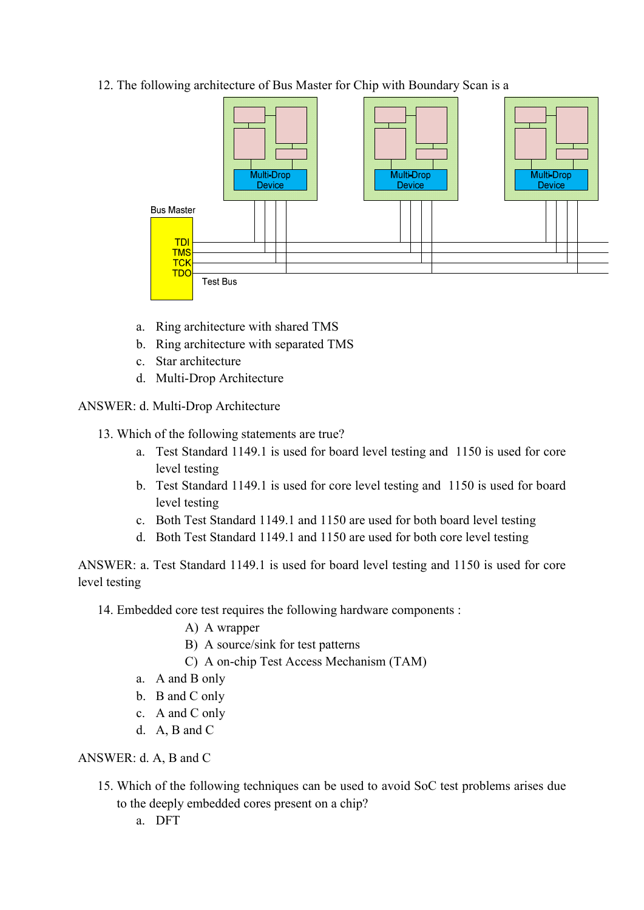12. The following architecture of Bus Master for Chip with Boundary Scan is a



- a. Ring architecture with shared TMS
- b. Ring architecture with separated TMS
- c. Star architecture
- d. Multi-Drop Architecture
- ANSWER: d. Multi-Drop Architecture
	- 13. Which of the following statements are true?
		- a. Test Standard 1149.1 is used for board level testing and 1150 is used for core level testing
		- b. Test Standard 1149.1 is used for core level testing and 1150 is used for board level testing
		- c. Both Test Standard 1149.1 and 1150 are used for both board level testing
		- d. Both Test Standard 1149.1 and 1150 are used for both core level testing

ANSWER: a. Test Standard 1149.1 is used for board level testing and 1150 is used for core level testing

14. Embedded core test requires the following hardware components :

- A) A wrapper
- B) A source/sink for test patterns
- C) A on-chip Test Access Mechanism (TAM)
- a. A and B only
- b. B and C only
- c. A and C only
- d. A, B and C

ANSWER: d. A, B and C

- 15. Which of the following techniques can be used to avoid SoC test problems arises due to the deeply embedded cores present on a chip?
	- a. DFT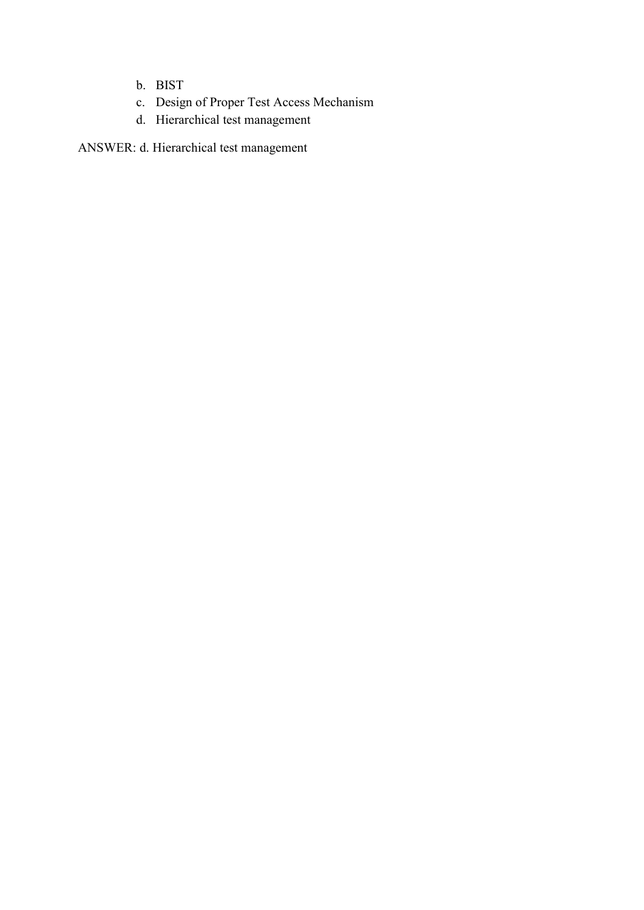- b. BIST
- c. Design of Proper Test Access Mechanism
- d. Hierarchical test management

ANSWER: d. Hierarchical test management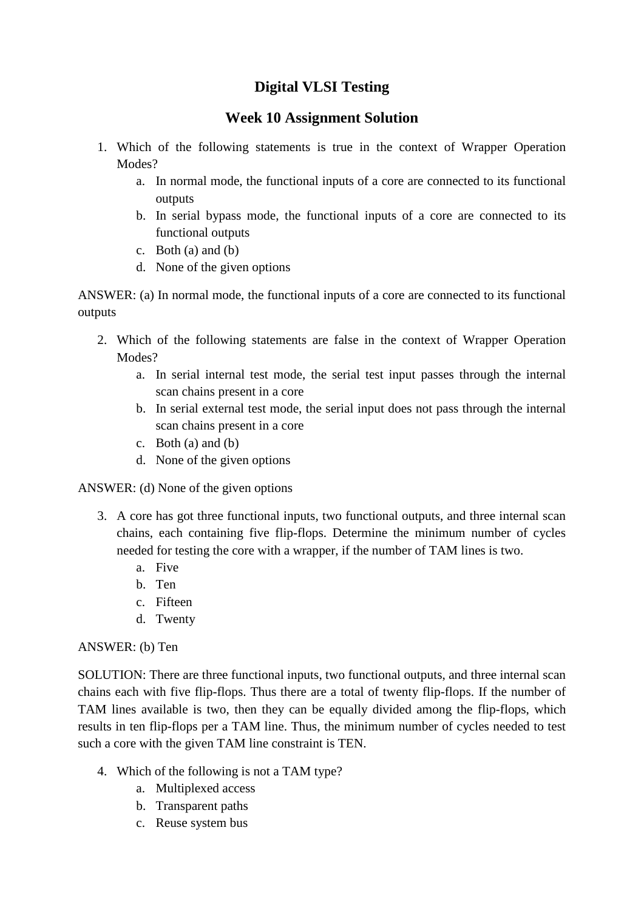### **Week 10 Assignment Solution**

- 1. Which of the following statements is true in the context of Wrapper Operation Modes?
	- a. In normal mode, the functional inputs of a core are connected to its functional outputs
	- b. In serial bypass mode, the functional inputs of a core are connected to its functional outputs
	- c. Both (a) and (b)
	- d. None of the given options

ANSWER: (a) In normal mode, the functional inputs of a core are connected to its functional outputs

- 2. Which of the following statements are false in the context of Wrapper Operation Modes?
	- a. In serial internal test mode, the serial test input passes through the internal scan chains present in a core
	- b. In serial external test mode, the serial input does not pass through the internal scan chains present in a core
	- c. Both  $(a)$  and  $(b)$
	- d. None of the given options

ANSWER: (d) None of the given options

- 3. A core has got three functional inputs, two functional outputs, and three internal scan chains, each containing five flip-flops. Determine the minimum number of cycles needed for testing the core with a wrapper, if the number of TAM lines is two.
	- a. Five
	- b. Ten
	- c. Fifteen
	- d. Twenty

### ANSWER: (b) Ten

SOLUTION: There are three functional inputs, two functional outputs, and three internal scan chains each with five flip-flops. Thus there are a total of twenty flip-flops. If the number of TAM lines available is two, then they can be equally divided among the flip-flops, which results in ten flip-flops per a TAM line. Thus, the minimum number of cycles needed to test such a core with the given TAM line constraint is TEN.

- 4. Which of the following is not a TAM type?
	- a. Multiplexed access
	- b. Transparent paths
	- c. Reuse system bus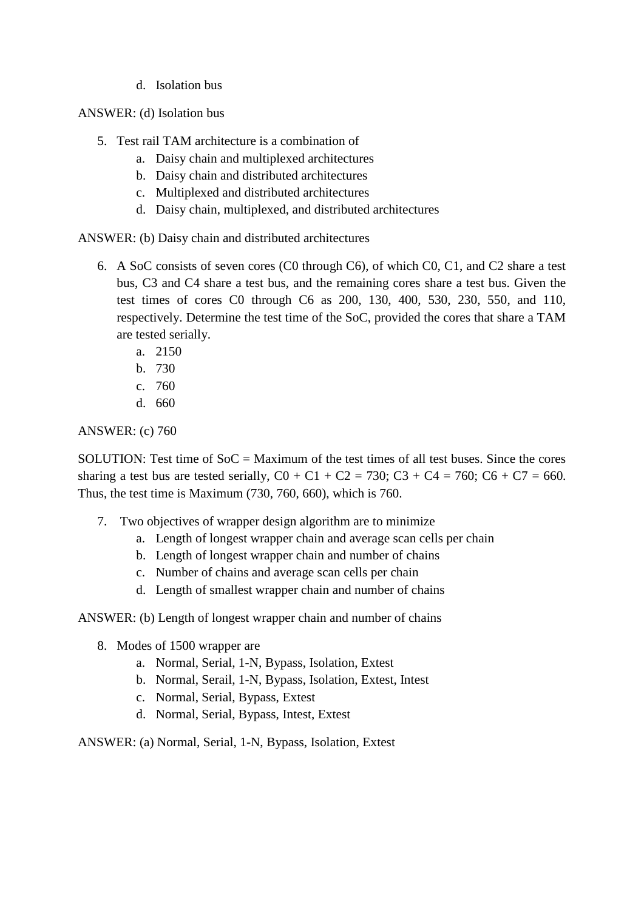d. Isolation bus

ANSWER: (d) Isolation bus

- 5. Test rail TAM architecture is a combination of
	- a. Daisy chain and multiplexed architectures
	- b. Daisy chain and distributed architectures
	- c. Multiplexed and distributed architectures
	- d. Daisy chain, multiplexed, and distributed architectures

ANSWER: (b) Daisy chain and distributed architectures

- 6. A SoC consists of seven cores (C0 through C6), of which C0, C1, and C2 share a test bus, C3 and C4 share a test bus, and the remaining cores share a test bus. Given the test times of cores C0 through C6 as 200, 130, 400, 530, 230, 550, and 110, respectively. Determine the test time of the SoC, provided the cores that share a TAM are tested serially.
	- a. 2150
	- b. 730
	- c. 760
	- d. 660

#### ANSWER: (c) 760

SOLUTION: Test time of  $S_0C =$  Maximum of the test times of all test buses. Since the cores sharing a test bus are tested serially,  $CO + C1 + C2 = 730$ ;  $C3 + C4 = 760$ ;  $C6 + C7 = 660$ . Thus, the test time is Maximum (730, 760, 660), which is 760.

- 7. Two objectives of wrapper design algorithm are to minimize
	- a. Length of longest wrapper chain and average scan cells per chain
	- b. Length of longest wrapper chain and number of chains
	- c. Number of chains and average scan cells per chain
	- d. Length of smallest wrapper chain and number of chains

ANSWER: (b) Length of longest wrapper chain and number of chains

- 8. Modes of 1500 wrapper are
	- a. Normal, Serial, 1-N, Bypass, Isolation, Extest
	- b. Normal, Serail, 1-N, Bypass, Isolation, Extest, Intest
	- c. Normal, Serial, Bypass, Extest
	- d. Normal, Serial, Bypass, Intest, Extest

ANSWER: (a) Normal, Serial, 1-N, Bypass, Isolation, Extest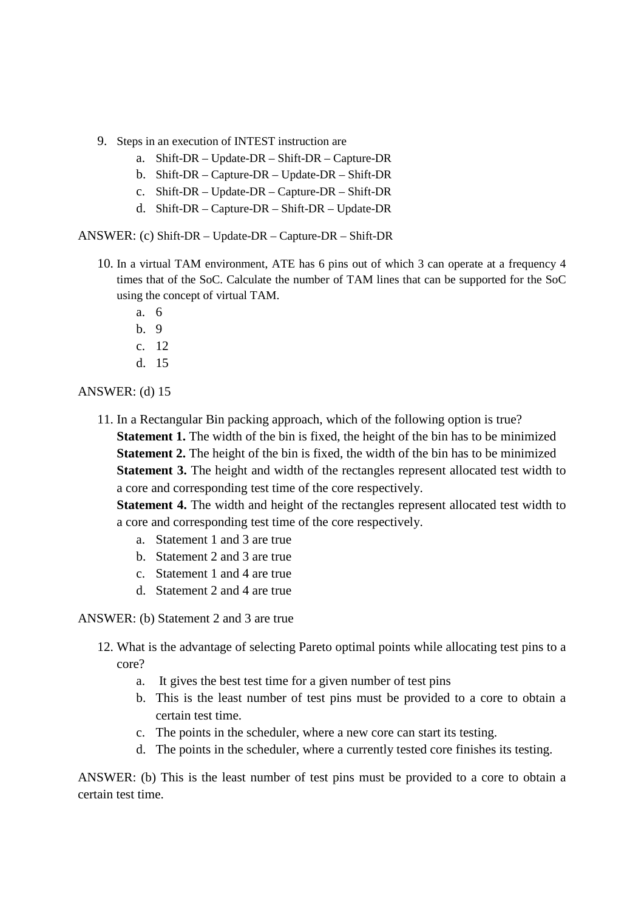- 9. Steps in an execution of INTEST instruction are
	- a. Shift-DR Update-DR Shift-DR Capture-DR
	- b. Shift-DR Capture-DR Update-DR Shift-DR
	- c. Shift-DR Update-DR Capture-DR Shift-DR
	- d. Shift-DR Capture-DR Shift-DR Update-DR

ANSWER: (c) Shift-DR – Update-DR – Capture-DR – Shift-DR

- 10. In a virtual TAM environment, ATE has 6 pins out of which 3 can operate at a frequency 4 times that of the SoC. Calculate the number of TAM lines that can be supported for the SoC using the concept of virtual TAM.
	- a. 6
	- $h \theta$
	- c. 12
	- d. 15

#### ANSWER: (d) 15

11. In a Rectangular Bin packing approach, which of the following option is true? **Statement 1.** The width of the bin is fixed, the height of the bin has to be minimized **Statement 2.** The height of the bin is fixed, the width of the bin has to be minimized **Statement 3.** The height and width of the rectangles represent allocated test width to a core and corresponding test time of the core respectively.

**Statement 4.** The width and height of the rectangles represent allocated test width to a core and corresponding test time of the core respectively.

- a. Statement 1 and 3 are true
- b. Statement 2 and 3 are true
- c. Statement 1 and 4 are true
- d. Statement 2 and 4 are true

ANSWER: (b) Statement 2 and 3 are true

- 12. What is the advantage of selecting Pareto optimal points while allocating test pins to a core?
	- a. It gives the best test time for a given number of test pins
	- b. This is the least number of test pins must be provided to a core to obtain a certain test time.
	- c. The points in the scheduler, where a new core can start its testing.
	- d. The points in the scheduler, where a currently tested core finishes its testing.

ANSWER: (b) This is the least number of test pins must be provided to a core to obtain a certain test time.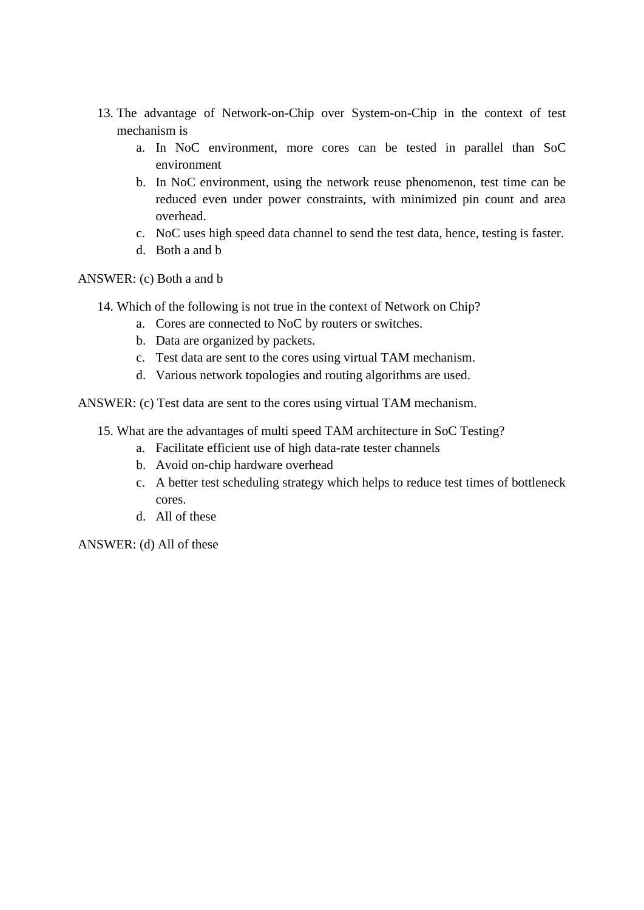- 13. The advantage of Network-on-Chip over System-on-Chip in the context of test mechanism is
	- a. In NoC environment, more cores can be tested in parallel than SoC environment
	- b. In NoC environment, using the network reuse phenomenon, test time can be reduced even under power constraints, with minimized pin count and area overhead.
	- c. NoC uses high speed data channel to send the test data, hence, testing is faster.
	- d. Both a and b

ANSWER: (c) Both a and b

- 14. Which of the following is not true in the context of Network on Chip?
	- a. Cores are connected to NoC by routers or switches.
	- b. Data are organized by packets.
	- c. Test data are sent to the cores using virtual TAM mechanism.
	- d. Various network topologies and routing algorithms are used.

ANSWER: (c) Test data are sent to the cores using virtual TAM mechanism.

- 15. What are the advantages of multi speed TAM architecture in SoC Testing?
	- a. Facilitate efficient use of high data-rate tester channels
	- b. Avoid on-chip hardware overhead
	- c. A better test scheduling strategy which helps to reduce test times of bottleneck cores.
	- d. All of these

ANSWER: (d) All of these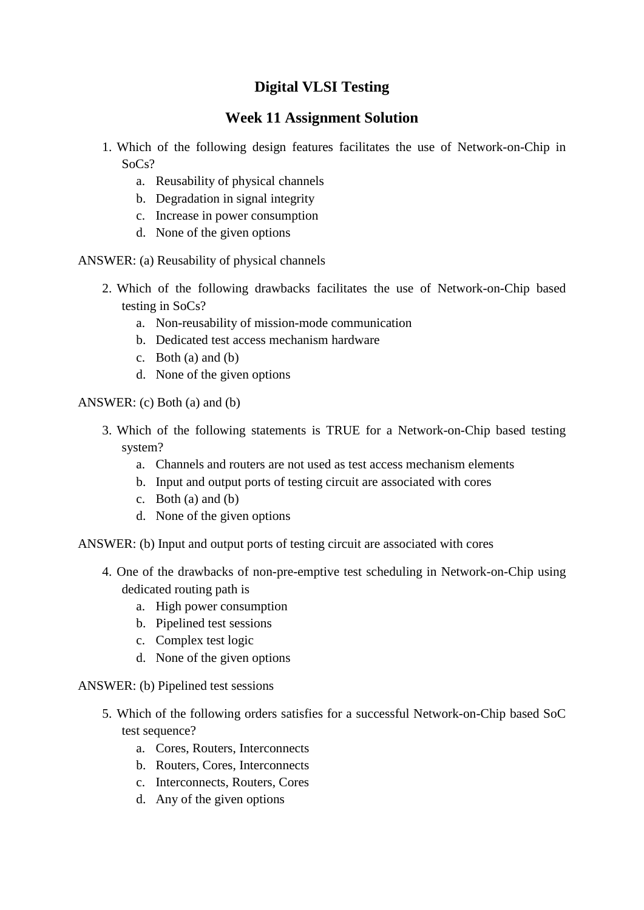### **Week 11 Assignment Solution**

- 1. Which of the following design features facilitates the use of Network-on-Chip in SoCs?
	- a. Reusability of physical channels
	- b. Degradation in signal integrity
	- c. Increase in power consumption
	- d. None of the given options

ANSWER: (a) Reusability of physical channels

- 2. Which of the following drawbacks facilitates the use of Network-on-Chip based testing in SoCs?
	- a. Non-reusability of mission-mode communication
	- b. Dedicated test access mechanism hardware
	- c. Both (a) and (b)
	- d. None of the given options

ANSWER: (c) Both (a) and (b)

- 3. Which of the following statements is TRUE for a Network-on-Chip based testing system?
	- a. Channels and routers are not used as test access mechanism elements
	- b. Input and output ports of testing circuit are associated with cores
	- c. Both  $(a)$  and  $(b)$
	- d. None of the given options
- ANSWER: (b) Input and output ports of testing circuit are associated with cores
	- 4. One of the drawbacks of non-pre-emptive test scheduling in Network-on-Chip using dedicated routing path is
		- a. High power consumption
		- b. Pipelined test sessions
		- c. Complex test logic
		- d. None of the given options

ANSWER: (b) Pipelined test sessions

- 5. Which of the following orders satisfies for a successful Network-on-Chip based SoC test sequence?
	- a. Cores, Routers, Interconnects
	- b. Routers, Cores, Interconnects
	- c. Interconnects, Routers, Cores
	- d. Any of the given options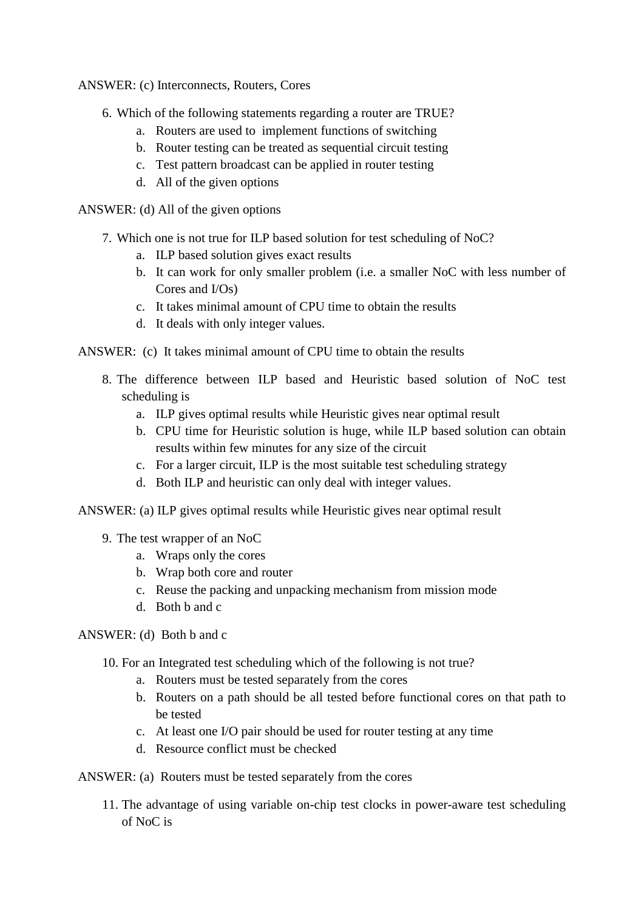ANSWER: (c) Interconnects, Routers, Cores

- 6. Which of the following statements regarding a router are TRUE?
	- a. Routers are used to implement functions of switching
	- b. Router testing can be treated as sequential circuit testing
	- c. Test pattern broadcast can be applied in router testing
	- d. All of the given options

ANSWER: (d) All of the given options

- 7. Which one is not true for ILP based solution for test scheduling of NoC?
	- a. ILP based solution gives exact results
	- b. It can work for only smaller problem (i.e. a smaller NoC with less number of Cores and I/Os)
	- c. It takes minimal amount of CPU time to obtain the results
	- d. It deals with only integer values.

ANSWER: (c) It takes minimal amount of CPU time to obtain the results

- 8. The difference between ILP based and Heuristic based solution of NoC test scheduling is
	- a. ILP gives optimal results while Heuristic gives near optimal result
	- b. CPU time for Heuristic solution is huge, while ILP based solution can obtain results within few minutes for any size of the circuit
	- c. For a larger circuit, ILP is the most suitable test scheduling strategy
	- d. Both ILP and heuristic can only deal with integer values.
- ANSWER: (a) ILP gives optimal results while Heuristic gives near optimal result
	- 9. The test wrapper of an NoC
		- a. Wraps only the cores
		- b. Wrap both core and router
		- c. Reuse the packing and unpacking mechanism from mission mode
		- d. Both b and c

ANSWER: (d) Both b and c

- 10. For an Integrated test scheduling which of the following is not true?
	- a. Routers must be tested separately from the cores
	- b. Routers on a path should be all tested before functional cores on that path to be tested
	- c. At least one I/O pair should be used for router testing at any time
	- d. Resource conflict must be checked

ANSWER: (a) Routers must be tested separately from the cores

11. The advantage of using variable on-chip test clocks in power-aware test scheduling of NoC is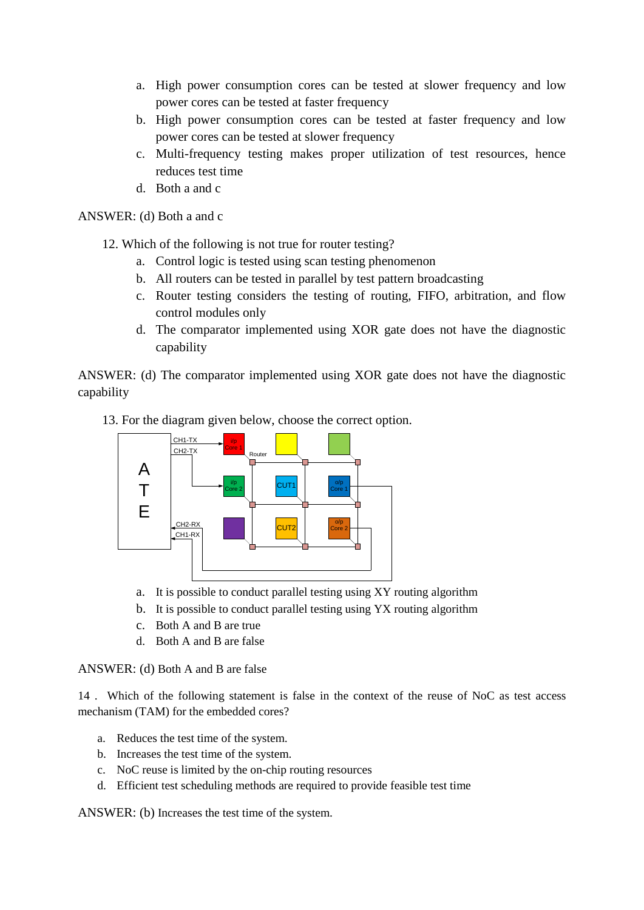- a. High power consumption cores can be tested at slower frequency and low power cores can be tested at faster frequency
- b. High power consumption cores can be tested at faster frequency and low power cores can be tested at slower frequency
- c. Multi-frequency testing makes proper utilization of test resources, hence reduces test time
- d. Both a and c

#### ANSWER: (d) Both a and c

- 12. Which of the following is not true for router testing?
	- a. Control logic is tested using scan testing phenomenon
	- b. All routers can be tested in parallel by test pattern broadcasting
	- c. Router testing considers the testing of routing, FIFO, arbitration, and flow control modules only
	- d. The comparator implemented using XOR gate does not have the diagnostic capability

ANSWER: (d) The comparator implemented using XOR gate does not have the diagnostic capability

13. For the diagram given below, choose the correct option.



- a. It is possible to conduct parallel testing using XY routing algorithm
- b. It is possible to conduct parallel testing using YX routing algorithm
- c. Both A and B are true
- d. Both A and B are false

ANSWER: (d) Both A and B are false

14 . Which of the following statement is false in the context of the reuse of NoC as test access mechanism (TAM) for the embedded cores?

- a. Reduces the test time of the system.
- b. Increases the test time of the system.
- c. NoC reuse is limited by the on-chip routing resources
- d. Efficient test scheduling methods are required to provide feasible test time

ANSWER: (b) Increases the test time of the system.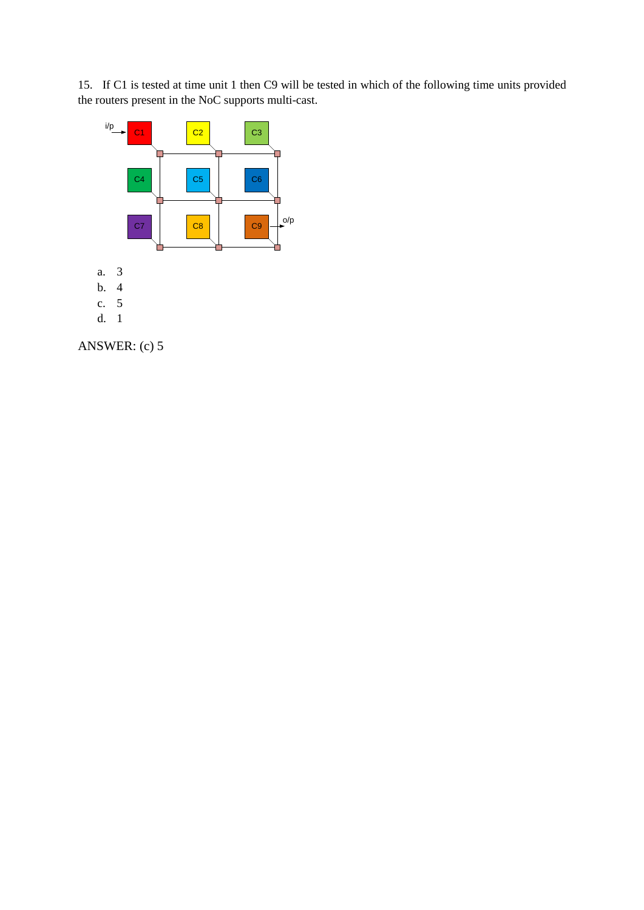15. If C1 is tested at time unit 1 then C9 will be tested in which of the following time units provided the routers present in the NoC supports multi-cast.



ANSWER: (c) 5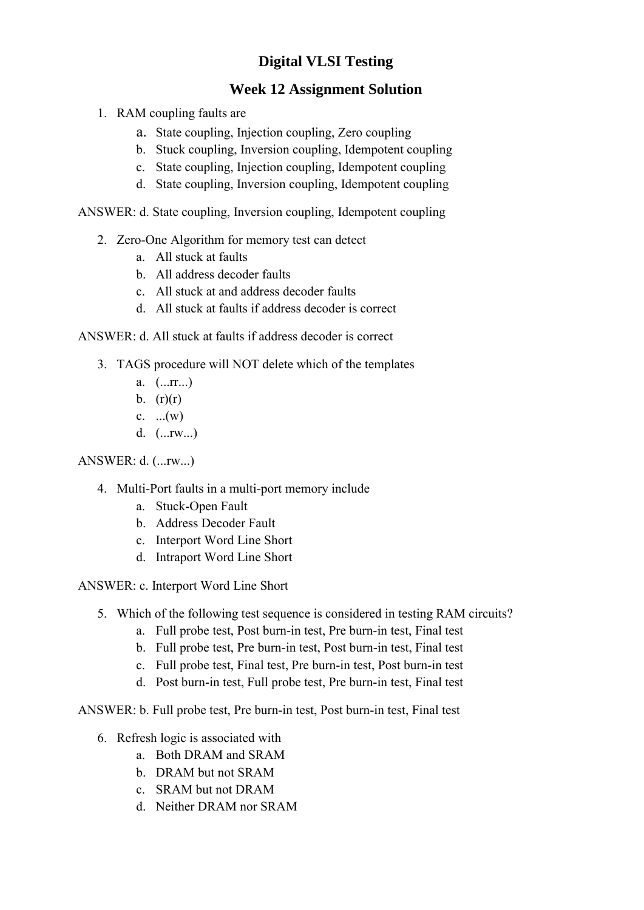## **Week 12 Assignment Solution**

- 1. RAM coupling faults are
	- a. State coupling, Injection coupling, Zero coupling
	- b. Stuck coupling, Inversion coupling, Idempotent coupling
	- c. State coupling, Injection coupling, Idempotent coupling
	- d. State coupling, Inversion coupling, Idempotent coupling

ANSWER: d. State coupling, Inversion coupling, Idempotent coupling

- 2. Zero-One Algorithm for memory test can detect
	- a. All stuck at faults
	- b. All address decoder faults
	- c. All stuck at and address decoder faults
	- d. All stuck at faults if address decoder is correct

ANSWER: d. All stuck at faults if address decoder is correct

- 3. TAGS procedure will NOT delete which of the templates
	- a. (...rr...)
	- b.  $(r)(r)$
	- c.  $...(w)$
	- d. (...rw...)

### ANSWER: d. (...rw...)

- 4. Multi-Port faults in a multi-port memory include
	- a. Stuck-Open Fault
	- b. Address Decoder Fault
	- c. Interport Word Line Short
	- d. Intraport Word Line Short
- ANSWER: c. Interport Word Line Short
	- 5. Which of the following test sequence is considered in testing RAM circuits?
		- a. Full probe test, Post burn-in test, Pre burn-in test, Final test
		- b. Full probe test, Pre burn-in test, Post burn-in test, Final test
		- c. Full probe test, Final test, Pre burn-in test, Post burn-in test
		- d. Post burn-in test, Full probe test, Pre burn-in test, Final test

ANSWER: b. Full probe test, Pre burn-in test, Post burn-in test, Final test

- 6. Refresh logic is associated with
	- a. Both DRAM and SRAM
	- b. DRAM but not SRAM
	- c. SRAM but not DRAM
	- d. Neither DRAM nor SRAM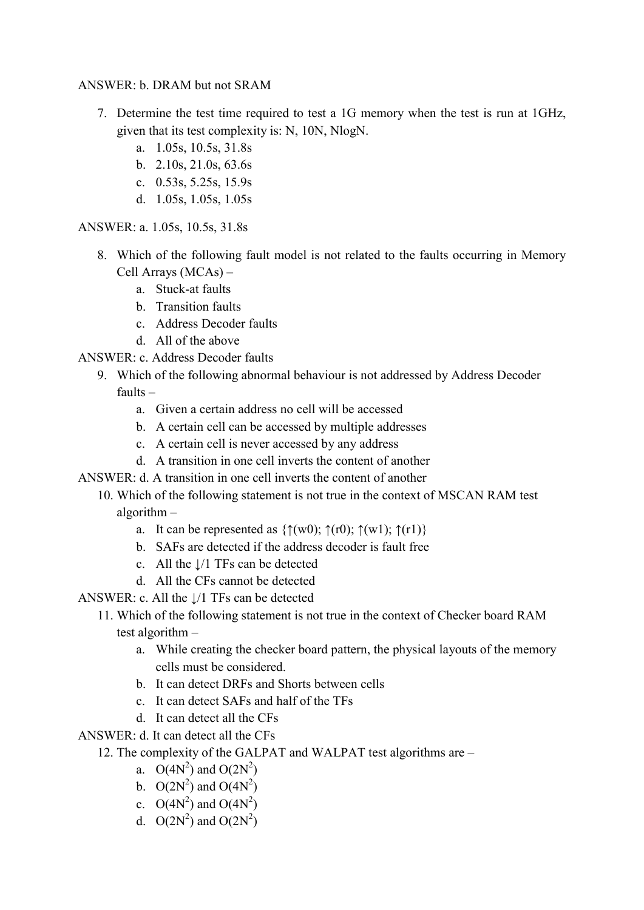### ANSWER: b. DRAM but not SRAM

- 7. Determine the test time required to test a 1G memory when the test is run at 1GHz, given that its test complexity is: N, 10N, NlogN.
	- a. 1.05s, 10.5s, 31.8s
	- b. 2.10s, 21.0s, 63.6s
	- c. 0.53s, 5.25s, 15.9s
	- d. 1.05s, 1.05s, 1.05s

ANSWER: a. 1.05s, 10.5s, 31.8s

- 8. Which of the following fault model is not related to the faults occurring in Memory Cell Arrays (MCAs) –
	- a. Stuck-at faults
	- b. Transition faults
	- c. Address Decoder faults
	- d. All of the above
- ANSWER: c. Address Decoder faults
	- 9. Which of the following abnormal behaviour is not addressed by Address Decoder
		- faults
			- a. Given a certain address no cell will be accessed
			- b. A certain cell can be accessed by multiple addresses
			- c. A certain cell is never accessed by any address
			- d. A transition in one cell inverts the content of another
- ANSWER: d. A transition in one cell inverts the content of another
	- 10. Which of the following statement is not true in the context of MSCAN RAM test algorithm –
		- a. It can be represented as  $\{\uparrow(w0);\uparrow(w1);\uparrow(w1)\}\$
		- b. SAFs are detected if the address decoder is fault free
		- c. All the ↓/1 TFs can be detected
		- d. All the CFs cannot be detected
- ANSWER: c. All the  $\frac{1}{1}$  TFs can be detected

## 11. Which of the following statement is not true in the context of Checker board RAM test algorithm –

- a. While creating the checker board pattern, the physical layouts of the memory cells must be considered.
- b. It can detect DRFs and Shorts between cells
- c. It can detect SAFs and half of the TFs
- d. It can detect all the CFs
- ANSWER: d. It can detect all the CFs

## 12. The complexity of the GALPAT and WALPAT test algorithms are –

- a.  $O(4N^2)$  and  $O(2N^2)$
- b.  $O(2N^2)$  and  $O(4N^2)$
- c.  $O(4N^2)$  and  $O(4N^2)$
- d.  $O(2N^2)$  and  $O(2N^2)$